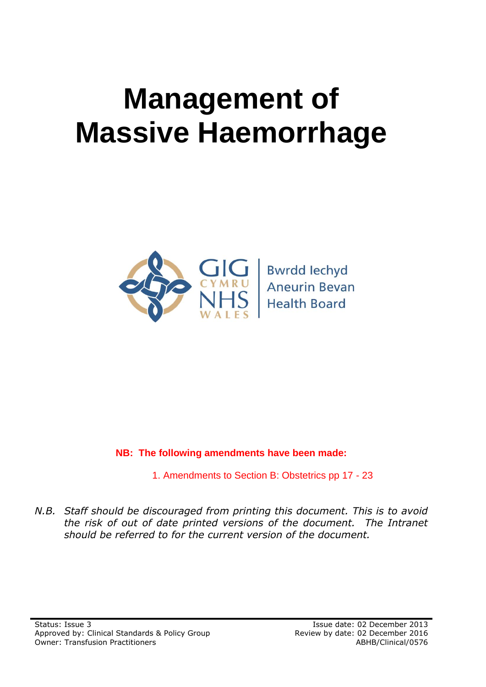# **Management of Massive Haemorrhage**



**Bwrdd lechyd Aneurin Bevan Health Board** 

### **NB: The following amendments have been made:**

1. Amendments to Section B: Obstetrics pp 17 - 23

*N.B. Staff should be discouraged from printing this document. This is to avoid the risk of out of date printed versions of the document. The Intranet should be referred to for the current version of the document.*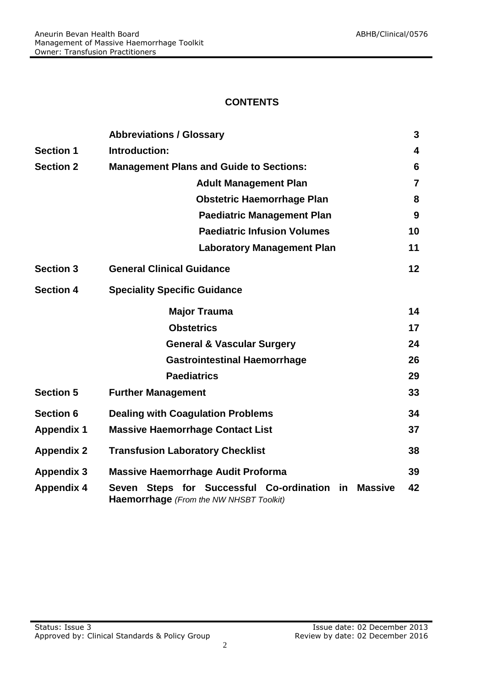#### **CONTENTS**

|                   | <b>Abbreviations / Glossary</b>                                                                                                  | 3              |
|-------------------|----------------------------------------------------------------------------------------------------------------------------------|----------------|
| <b>Section 1</b>  | Introduction:                                                                                                                    | 4              |
| <b>Section 2</b>  | <b>Management Plans and Guide to Sections:</b>                                                                                   | 6              |
|                   | <b>Adult Management Plan</b>                                                                                                     | $\overline{7}$ |
|                   | <b>Obstetric Haemorrhage Plan</b>                                                                                                | 8              |
|                   | <b>Paediatric Management Plan</b>                                                                                                | 9              |
|                   | <b>Paediatric Infusion Volumes</b>                                                                                               | 10             |
|                   | <b>Laboratory Management Plan</b>                                                                                                | 11             |
| <b>Section 3</b>  | <b>General Clinical Guidance</b>                                                                                                 | 12             |
| <b>Section 4</b>  | <b>Speciality Specific Guidance</b>                                                                                              |                |
|                   | <b>Major Trauma</b>                                                                                                              | 14             |
|                   | <b>Obstetrics</b>                                                                                                                | 17             |
|                   | <b>General &amp; Vascular Surgery</b>                                                                                            | 24             |
|                   | <b>Gastrointestinal Haemorrhage</b>                                                                                              | 26             |
|                   | <b>Paediatrics</b>                                                                                                               | 29             |
| <b>Section 5</b>  | <b>Further Management</b>                                                                                                        | 33             |
| <b>Section 6</b>  | <b>Dealing with Coagulation Problems</b>                                                                                         | 34             |
| <b>Appendix 1</b> | <b>Massive Haemorrhage Contact List</b>                                                                                          | 37             |
| <b>Appendix 2</b> | <b>Transfusion Laboratory Checklist</b>                                                                                          | 38             |
| <b>Appendix 3</b> | <b>Massive Haemorrhage Audit Proforma</b>                                                                                        | 39             |
| <b>Appendix 4</b> | for Successful Co-ordination<br><b>Massive</b><br><b>Steps</b><br>in.<br><b>Seven</b><br>Haemorrhage (From the NW NHSBT Toolkit) | 42             |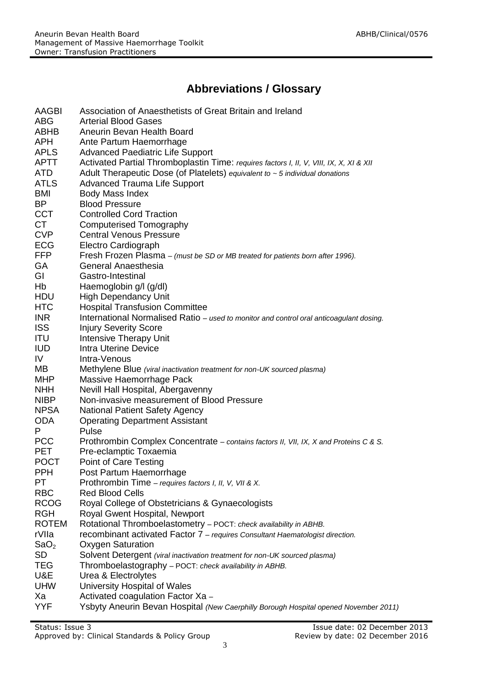## **Abbreviations / Glossary**

| AAGBI<br>Association of Anaesthetists of Great Britain and Ireland                                     |  |
|--------------------------------------------------------------------------------------------------------|--|
| <b>ABG</b><br><b>Arterial Blood Gases</b>                                                              |  |
| ABHB<br>Aneurin Bevan Health Board                                                                     |  |
| APH<br>Ante Partum Haemorrhage                                                                         |  |
| <b>APLS</b><br><b>Advanced Paediatric Life Support</b>                                                 |  |
| <b>APTT</b><br>Activated Partial Thromboplastin Time: requires factors I, II, V, VIII, IX, X, XI & XII |  |
| <b>ATD</b><br>Adult Therapeutic Dose (of Platelets) equivalent to $\sim$ 5 individual donations        |  |
| <b>ATLS</b><br><b>Advanced Trauma Life Support</b>                                                     |  |
| <b>BMI</b><br>Body Mass Index                                                                          |  |
| BP<br><b>Blood Pressure</b>                                                                            |  |
| <b>CCT</b><br><b>Controlled Cord Traction</b>                                                          |  |
| <b>CT</b><br>Computerised Tomography                                                                   |  |
| <b>CVP</b><br><b>Central Venous Pressure</b>                                                           |  |
| <b>ECG</b><br>Electro Cardiograph                                                                      |  |
| <b>FFP</b><br>Fresh Frozen Plasma - (must be SD or MB treated for patients born after 1996).           |  |
| GA<br>General Anaesthesia                                                                              |  |
| GI<br>Gastro-Intestinal                                                                                |  |
| Hb<br>Haemoglobin g/l (g/dl)                                                                           |  |
| <b>HDU</b><br><b>High Dependancy Unit</b>                                                              |  |
| <b>HTC</b><br><b>Hospital Transfusion Committee</b>                                                    |  |
| <b>INR</b><br>International Normalised Ratio - used to monitor and control oral anticoagulant dosing.  |  |
| <b>ISS</b><br><b>Injury Severity Score</b>                                                             |  |
| <b>ITU</b><br><b>Intensive Therapy Unit</b>                                                            |  |
| <b>IUD</b><br><b>Intra Uterine Device</b>                                                              |  |
| IV<br>Intra-Venous                                                                                     |  |
| MB<br>Methylene Blue (viral inactivation treatment for non-UK sourced plasma)                          |  |
| Massive Haemorrhage Pack<br><b>MHP</b>                                                                 |  |
| Nevill Hall Hospital, Abergavenny<br><b>NHH</b>                                                        |  |
| Non-invasive measurement of Blood Pressure<br><b>NIBP</b>                                              |  |
| <b>NPSA</b><br><b>National Patient Safety Agency</b>                                                   |  |
| <b>ODA</b><br><b>Operating Department Assistant</b>                                                    |  |
| P<br>Pulse                                                                                             |  |
| <b>PCC</b><br>Prothrombin Complex Concentrate - contains factors II, VII, IX, X and Proteins C & S.    |  |
| <b>PET</b><br>Pre-eclamptic Toxaemia                                                                   |  |
| <b>POCT</b><br>Point of Care Testing                                                                   |  |
| <b>PPH</b><br>Post Partum Haemorrhage                                                                  |  |
| PT<br>Prothrombin Time - requires factors I, II, V, VII & X.                                           |  |
| <b>RBC</b><br><b>Red Blood Cells</b>                                                                   |  |
| <b>RCOG</b><br>Royal College of Obstetricians & Gynaecologists                                         |  |
| <b>RGH</b><br>Royal Gwent Hospital, Newport                                                            |  |
| Rotational Thromboelastometry - POCT: check availability in ABHB.<br><b>ROTEM</b>                      |  |
| rVIIa<br>recombinant activated Factor 7 - requires Consultant Haematologist direction.                 |  |
| SaO <sub>2</sub><br><b>Oxygen Saturation</b>                                                           |  |
| <b>SD</b><br>Solvent Detergent (viral inactivation treatment for non-UK sourced plasma)                |  |
| <b>TEG</b><br>Thromboelastography - POCT: check availability in ABHB.                                  |  |
| U&E<br>Urea & Electrolytes                                                                             |  |
|                                                                                                        |  |
|                                                                                                        |  |
| <b>UHW</b><br>University Hospital of Wales<br>Xa<br>Activated coagulation Factor Xa -                  |  |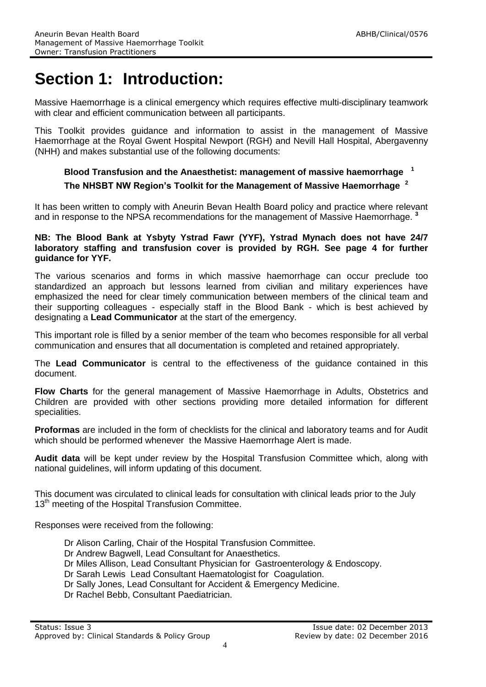## **Section 1: Introduction:**

Massive Haemorrhage is a clinical emergency which requires effective multi-disciplinary teamwork with clear and efficient communication between all participants.

This Toolkit provides guidance and information to assist in the management of Massive Haemorrhage at the Royal Gwent Hospital Newport (RGH) and Nevill Hall Hospital, Abergavenny (NHH) and makes substantial use of the following documents:

#### **Blood Transfusion and the Anaesthetist: management of massive haemorrhage 1 The NHSBT NW Region's Toolkit for the Management of Massive Haemorrhage 2**

It has been written to comply with Aneurin Bevan Health Board policy and practice where relevant and in response to the NPSA recommendations for the management of Massive Haemorrhage. **<sup>3</sup>**

#### **NB: The Blood Bank at Ysbyty Ystrad Fawr (YYF), Ystrad Mynach does not have 24/7 laboratory staffing and transfusion cover is provided by RGH. See page 4 for further guidance for YYF.**

The various scenarios and forms in which massive haemorrhage can occur preclude too standardized an approach but lessons learned from civilian and military experiences have emphasized the need for clear timely communication between members of the clinical team and their supporting colleagues - especially staff in the Blood Bank - which is best achieved by designating a **Lead Communicator** at the start of the emergency.

This important role is filled by a senior member of the team who becomes responsible for all verbal communication and ensures that all documentation is completed and retained appropriately.

The **Lead Communicator** is central to the effectiveness of the guidance contained in this document.

**Flow Charts** for the general management of Massive Haemorrhage in Adults, Obstetrics and Children are provided with other sections providing more detailed information for different specialities.

**Proformas** are included in the form of checklists for the clinical and laboratory teams and for Audit which should be performed whenever the Massive Haemorrhage Alert is made.

**Audit data** will be kept under review by the Hospital Transfusion Committee which, along with national guidelines, will inform updating of this document.

This document was circulated to clinical leads for consultation with clinical leads prior to the July 13<sup>th</sup> meeting of the Hospital Transfusion Committee.

Responses were received from the following:

- Dr Alison Carling, Chair of the Hospital Transfusion Committee.
- Dr Andrew Bagwell, Lead Consultant for Anaesthetics.
- Dr Miles Allison, Lead Consultant Physician for Gastroenterology & Endoscopy.
- Dr Sarah Lewis Lead Consultant Haematologist for Coagulation.
- Dr Sally Jones, Lead Consultant for Accident & Emergency Medicine.
- Dr Rachel Bebb, Consultant Paediatrician.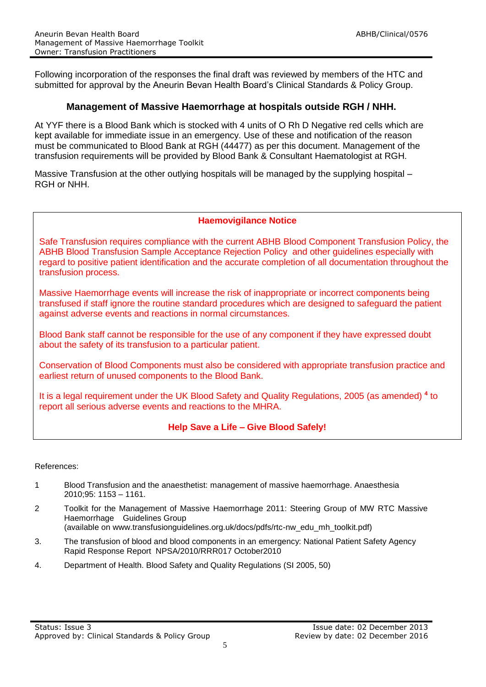Following incorporation of the responses the final draft was reviewed by members of the HTC and submitted for approval by the Aneurin Bevan Health Board's Clinical Standards & Policy Group.

#### **Management of Massive Haemorrhage at hospitals outside RGH / NHH.**

At YYF there is a Blood Bank which is stocked with 4 units of O Rh D Negative red cells which are kept available for immediate issue in an emergency. Use of these and notification of the reason must be communicated to Blood Bank at RGH (44477) as per this document. Management of the transfusion requirements will be provided by Blood Bank & Consultant Haematologist at RGH.

Massive Transfusion at the other outlying hospitals will be managed by the supplying hospital – RGH or NHH.

#### **Haemovigilance Notice**

Safe Transfusion requires compliance with the current ABHB Blood Component Transfusion Policy, the ABHB Blood Transfusion Sample Acceptance Rejection Policy and other guidelines especially with regard to positive patient identification and the accurate completion of all documentation throughout the transfusion process.

Massive Haemorrhage events will increase the risk of inappropriate or incorrect components being transfused if staff ignore the routine standard procedures which are designed to safeguard the patient against adverse events and reactions in normal circumstances.

Blood Bank staff cannot be responsible for the use of any component if they have expressed doubt about the safety of its transfusion to a particular patient.

Conservation of Blood Components must also be considered with appropriate transfusion practice and earliest return of unused components to the Blood Bank.

It is a legal requirement under the UK Blood Safety and Quality Regulations, 2005 (as amended) **<sup>4</sup>** to report all serious adverse events and reactions to the MHRA.

#### **Help Save a Life – Give Blood Safely!**

References:

- 1 Blood Transfusion and the anaesthetist: management of massive haemorrhage. Anaesthesia 2010;95: 1153 – 1161.
- 2 Toolkit for the Management of Massive Haemorrhage 2011: Steering Group of MW RTC Massive Haemorrhage Guidelines Group

(available on www.transfusionguidelines.org.uk/docs/pdfs/rtc-nw\_edu\_mh\_toolkit.pdf)

- 3. The transfusion of blood and blood components in an emergency: National Patient Safety Agency Rapid Response Report NPSA/2010/RRR017 October2010
- 4. Department of Health. Blood Safety and Quality Regulations (SI 2005, 50)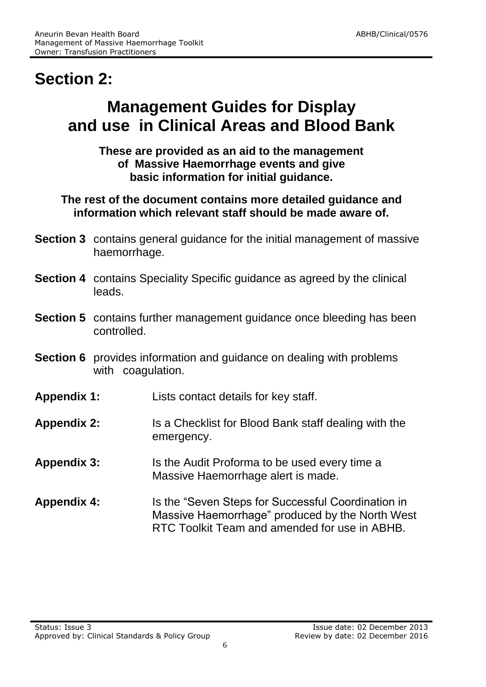## **Section 2:**

## **Management Guides for Display and use in Clinical Areas and Blood Bank**

**These are provided as an aid to the management of Massive Haemorrhage events and give basic information for initial guidance.**

**The rest of the document contains more detailed guidance and information which relevant staff should be made aware of.** 

- **Section 3** contains general guidance for the initial management of massive haemorrhage.
- **Section 4** contains Speciality Specific guidance as agreed by the clinical leads.
- **Section 5** contains further management guidance once bleeding has been controlled.
- **Section 6** provides information and guidance on dealing with problems with coagulation.
- **Appendix 1:** Lists contact details for key staff.
- **Appendix 2:** Is a Checklist for Blood Bank staff dealing with the emergency.
- **Appendix 3:** Is the Audit Proforma to be used every time a Massive Haemorrhage alert is made.
- **Appendix 4:** Is the "Seven Steps for Successful Coordination in Massive Haemorrhage" produced by the North West RTC Toolkit Team and amended for use in ABHB.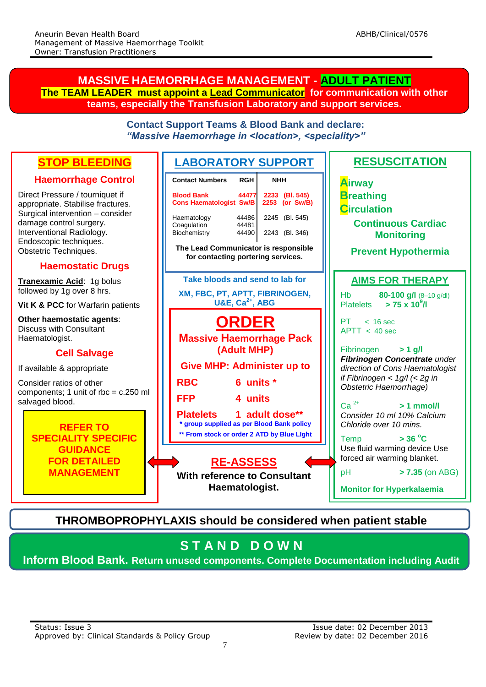#### **MASSIVE HAEMORRHAGE MANAGEMENT - ADULT PATIENT The TEAM LEADER must appoint a Lead Communicator for communication with other teams, especially the Transfusion Laboratory and support services.**

|                                                                                                                                                                                                                                                 | <b>Contact Support Teams &amp; Blood Bank and declare:</b><br>"Massive Haemorrhage in <location>, <speciality>"</speciality></location>                                                                                                                                                     |                                                                                                                                                                                                                                          |  |  |
|-------------------------------------------------------------------------------------------------------------------------------------------------------------------------------------------------------------------------------------------------|---------------------------------------------------------------------------------------------------------------------------------------------------------------------------------------------------------------------------------------------------------------------------------------------|------------------------------------------------------------------------------------------------------------------------------------------------------------------------------------------------------------------------------------------|--|--|
| <b>STOP BLEEDING</b><br><b>Haemorrhage Control</b>                                                                                                                                                                                              | <b>LABORATORY SUPPORT</b><br><b>Contact Numbers</b><br><b>RGH</b><br><b>NHH</b>                                                                                                                                                                                                             | <b>RESUSCITATION</b>                                                                                                                                                                                                                     |  |  |
| Direct Pressure / tourniquet if<br>appropriate. Stabilise fractures.<br>Surgical intervention - consider<br>damage control surgery.<br>Interventional Radiology.<br>Endoscopic techniques.<br>Obstetric Techniques.<br><b>Haemostatic Drugs</b> | <b>Blood Bank</b><br>44477<br>2233 (BI. 545)<br><b>Cons Haematologist Sw/B</b><br>2253 (or Sw/B)<br>Haematology<br>44486<br>2245 (Bl. 545)<br>44481<br>Coagulation<br>Biochemistry<br>44490<br>2243 (Bl. 346)<br>The Lead Communicator is responsible<br>for contacting portering services. | <b>Airway</b><br><b>B</b> reathing<br><b>Circulation</b><br><b>Continuous Cardiac</b><br><b>Monitoring</b><br><b>Prevent Hypothermia</b>                                                                                                 |  |  |
| Tranexamic Acid: 1g bolus<br>followed by 1g over 8 hrs.<br>Vit K & PCC for Warfarin patients<br>Other haemostatic agents:<br><b>Discuss with Consultant</b><br>Haematologist.                                                                   | Take bloods and send to lab for<br>XM, FBC, PT, APTT, FIBRINOGEN,<br><b>U&amp;E, Ca<sup>2+</sup>, ABG</b><br><b>ORDER</b><br><b>Massive Haemorrhage Pack</b>                                                                                                                                | <b>AIMS FOR THERAPY</b><br>80-100 g/l (8-10 g/dl)<br>Hb<br>$> 75 \times 10^9$ /I<br><b>Platelets</b><br>PT.<br>$< 16$ sec<br>APT < 40 sec                                                                                                |  |  |
| <b>Cell Salvage</b><br>If available & appropriate<br>Consider ratios of other<br>components; 1 unit of rbc = $c.250$ ml<br>salvaged blood.<br><b>REFER TO</b>                                                                                   | (Adult MHP)<br><b>Give MHP: Administer up to</b><br><b>RBC</b><br>6 units *<br><b>FFP</b><br>4 units<br>1 adult dose**<br><b>Platelets</b><br>* group supplied as per Blood Bank policy<br>** From stock or order 2 ATD by Blue Light                                                       | Fibrinogen<br>$> 1$ g/l<br>Fibrinogen Concentrate under<br>direction of Cons Haematologist<br>if Fibrinogen < $1g/l$ (< 2g in<br>Obstetric Haemorrhage)<br>$Ca2+$<br>$>1$ mmol/l<br>Consider 10 ml 10% Calcium<br>Chloride over 10 mins. |  |  |
| <b>SPECIALITY SPECIFIC</b><br><b>GUIDANCE</b><br><b>FOR DETAILED</b><br><b>MANAGEMENT</b>                                                                                                                                                       | <b>RE-ASSESS</b><br><b>With reference to Consultant</b><br>Haematologist.                                                                                                                                                                                                                   | $>$ 36 $^{\circ}$ C<br>Temp<br>Use fluid warming device Use<br>forced air warming blanket.<br>pH<br>$> 7.35$ (on ABG)<br><b>Monitor for Hyperkalaemia</b>                                                                                |  |  |
|                                                                                                                                                                                                                                                 | <b>THROMBOPROPHYLAXIS should be considered when patient stable</b><br><b>STAND DOWN</b>                                                                                                                                                                                                     |                                                                                                                                                                                                                                          |  |  |
|                                                                                                                                                                                                                                                 |                                                                                                                                                                                                                                                                                             |                                                                                                                                                                                                                                          |  |  |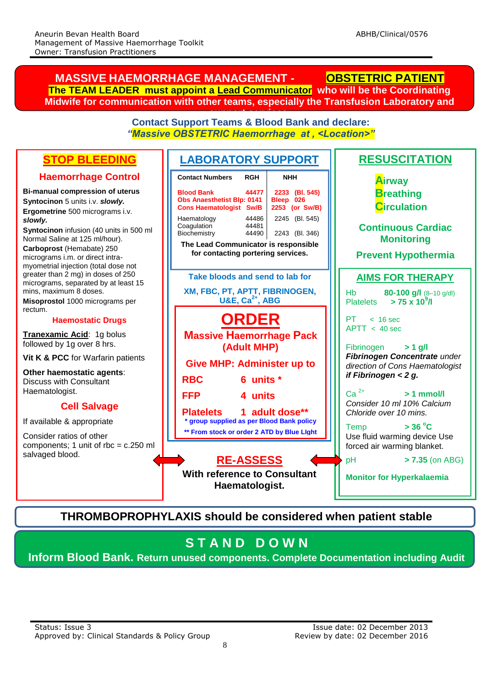#### **LABORATORY SUPPORT Contact Support Teams & Blood Bank and declare:** *"Massive OBSTETRIC Haemorrhage at , <Location>"* **RESUSCITATION Airway Breathing Circulation Continuous Cardiac Monitoring Prevent Hypothermia AIMS FOR THERAPY** Hb **80-100 g/l** (8–10 g/dl) Platelets **> 75 x 10<sup>9</sup> /l**  $PT \sim 16$  sec  $APTT < 40 sec$ Fibrinogen **> 1 g/l** *Fibrinogen Concentrate under direction of Cons Haematologist if Fibrinogen < 2 g.*  $Ca^{2+}$   $> 1$  mmol/l *Consider 10 ml 10% Calcium Chloride over 10 mins.* Temp **> 36 <sup>o</sup>C** Use fluid warming device Use forced air warming blanket. pH **> 7.35** (on ABG) **Monitor for Hyperkalaemia ORDER Massive Haemorrhage Pack (Adult MHP) Give MHP: Administer up to RBC 6 units \* FFP 4 units Platelets 1 adult dose\*\* \* group supplied as per Blood Bank policy \*\* From stock or order 2 ATD by Blue LIght Contact Numbers RGH NHH Blood Bank 44477 2233 (Bl. 545)** Obs Anaesthetist Blp: 0141 Bleep 026<br>Cons Haematologist Sw/B 2253 (or Sw/B) **Cons Haematologist Sw/B** Haematology 44486 2245 (Bl. 545) Coagulation 44481<br>Biochemistry 44490 2243 (Bl. 346) **The Lead Communicator is responsible for contacting portering services. MASSIVE HAEMORRHAGE MANAGEMENT - OBSTETRIC PATIENT The TEAM LEADER must appoint a Lead Communicator who will be the Coordinating Midwife for communication with other teams, especially the Transfusion Laboratory and support services. Take bloods and send to lab for XM, FBC, PT, APTT, FIBRINOGEN, U&E, Ca2+, ABG STOP BLEEDING Haemorrhage Control Bi-manual compression of uterus Syntocinon** 5 units i.v. *slowly.* **Ergometrine** 500 micrograms i.v. *slowly.* **Syntocinon** infusion (40 units in 500 ml Normal Saline at 125 ml/hour). **Carboprost** (Hemabate) 250 micrograms i.m. or direct intramyometrial injection (total dose not greater than 2 mg) in doses of 250 micrograms, separated by at least 15 mins, maximum 8 doses. **Misoprostol** 1000 micrograms per rectum. **Haemostatic Drugs Tranexamic Acid**: 1g bolus followed by 1g over 8 hrs. **Vit K & PCC** for Warfarin patients **Other haemostatic agents**: Discuss with Consultant Haematologist. **Cell Salvage** If available & appropriate Consider ratios of other components; 1 unit of rbc = c.250 ml salvaged blood. **RE-ASSESS With reference to Consultant Haematologist.**

### **THROMBOPROPHYLAXIS should be considered when patient stable**

## **S T A N D D O W N**

**Inform Blood Bank. Return unused components. Complete Documentation including Audit**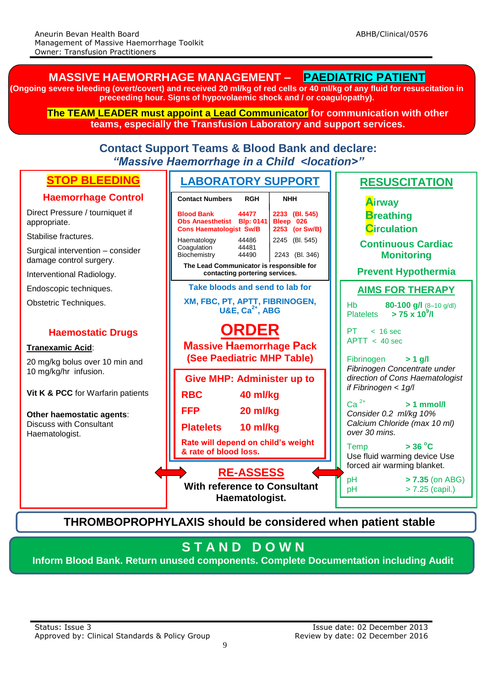#### **RE-ASSESS With reference to Consultant Haematologist. STOP BLEEDING Haemorrhage Control** Direct Pressure / tourniquet if appropriate. Stabilise fractures. Surgical intervention – consider damage control surgery. Interventional Radiology. Endoscopic techniques. Obstetric Techniques. **Haemostatic Drugs Tranexamic Acid**: 20 mg/kg bolus over 10 min and 10 mg/kg/hr infusion. **Vit K & PCC** for Warfarin patients **Other haemostatic agents**: Discuss with Consultant Haematologist. **LABORATORY SUPPORT Take bloods and send to lab for XM, FBC, PT, APTT, FIBRINOGEN, U&E, Ca2+, ABG ORDER Massive Haemorrhage Pack (See Paediatric MHP Table) Contact Support Teams & Blood Bank and declare:** *"Massive Haemorrhage in a Child <location>"*  **RESUSCITATION Continuous Cardiac Monitoring Prevent Hypothermia AIMS FOR THERAPY** Hb **80-100 g/l** (8–10 g/dl) Platelets **> 75 x 10<sup>9</sup> /l**  $PT \leq 16 \text{ sec}$  $APTT < 40 sec$ Fibrinogen **> 1 g/l** *Fibrinogen Concentrate under direction of Cons Haematologist if Fibrinogen < 1g/l*   $Ca<sup>2+</sup>$  > 1 mmol/l *Consider 0.2 ml/kg 10% Calcium Chloride (max 10 ml) over 30 mins.* Temp **> 36 <sup>o</sup>C** Use fluid warming device Use forced air warming blanket. pH **> 7.35** (on ABG) pH > 7.25 (capil.) **Monitor for Hyperkalaemia Give MHP: Administer up to RBC 40 ml/kg FFP 20 ml/kg Platelets 10 ml/kg Rate will depend on child's weight & rate of blood loss. Airway Breathing Circulation THROMBOPROPHYLAXIS should be considered when patient stable (Ongoing severe bleeding (overt/covert) and received 20 ml/kg of red cells or 40 ml/kg of any fluid for resuscitation in preceeding hour. Signs of hypovolaemic shock and / or coagulopathy). The TEAM LEADER must appoint a Lead Communicator for communication with other teams, especially the Transfusion Laboratory and support services.** Contact Numbers RGH | NHH **Blood Bank 44477 2233 (Bl. 545) Obs Anaesthetist Blp: 0141 Bleep 026**<br> **Cons Haematologist Sw/B 2253 (or Sw/B) Cons Haematologist Sw/B** Haematology  $44486$   $2245$  (Bl. 545)<br>Coaquiation  $44481$ Coagulation 44481<br>Biochemistry 44490 2243 (Bl. 346) **The Lead Communicator is responsible for contacting portering services.**

**MASSIVE HAEMORRHAGE MANAGEMENT – PAEDIATRIC PATIENT**

## **S T A N D D O W N**

**Inform Blood Bank. Return unused components. Complete Documentation including Audit**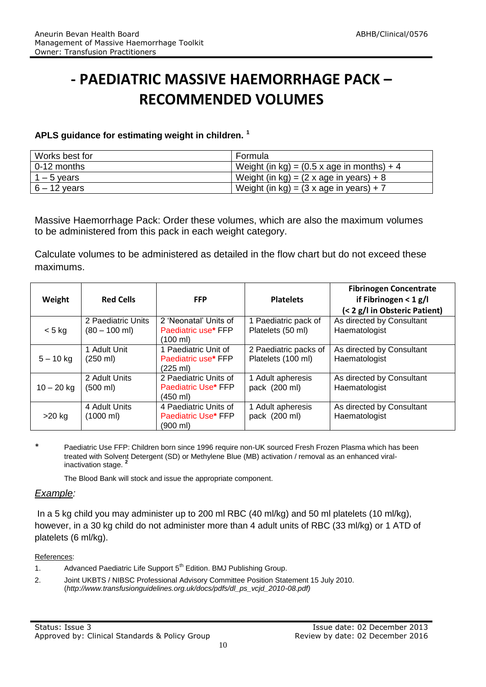## **- PAEDIATRIC MASSIVE HAEMORRHAGE PACK – RECOMMENDED VOLUMES**

#### **APLS guidance for estimating weight in children. <sup>1</sup>**

| Works best for | Formula                                             |
|----------------|-----------------------------------------------------|
| $0-12$ months  | Weight (in kg) = $(0.5 \times a)$ ge in months) + 4 |
| $1 - 5$ years  | Weight (in kg) = $(2 \times a)$ ge in years) + 8    |
| $6 - 12$ years | Weight (in kg) = $(3 \times a$ ge in years) + 7     |

Massive Haemorrhage Pack: Order these volumes, which are also the maximum volumes to be administered from this pack in each weight category.

Calculate volumes to be administered as detailed in the flow chart but do not exceed these maximums.

| Weight       | <b>Red Cells</b>                      | <b>FFP</b>                                                         | <b>Platelets</b>                            | <b>Fibrinogen Concentrate</b><br>if Fibrinogen < $1 g/I$<br>(< 2 g/l in Obsteric Patient) |
|--------------|---------------------------------------|--------------------------------------------------------------------|---------------------------------------------|-------------------------------------------------------------------------------------------|
| $< 5$ kg     | 2 Paediatric Units<br>$(80 - 100$ ml) | 2 'Neonatal' Units of<br>Paediatric use* FFP<br>(100 ml)           | 1 Paediatric pack of<br>Platelets (50 ml)   | As directed by Consultant<br>Haematologist                                                |
| $5 - 10$ kg  | 1 Adult Unit<br>$(250 \text{ ml})$    | 1 Paediatric Unit of<br>Paediatric use* FFP<br>$(225 \text{ ml})$  | 2 Paediatric packs of<br>Platelets (100 ml) | As directed by Consultant<br>Haematologist                                                |
| $10 - 20$ kg | 2 Adult Units<br>$(500 \text{ ml})$   | 2 Paediatric Units of<br>Paediatric Use* FFP<br>$(450 \text{ ml})$ | 1 Adult apheresis<br>pack (200 ml)          | As directed by Consultant<br>Haematologist                                                |
| $>20$ kg     | 4 Adult Units<br>(1000 ml)            | 4 Paediatric Units of<br>Paediatric Use* FFP<br>(900 ml)           | 1 Adult apheresis<br>pack (200 ml)          | As directed by Consultant<br>Haematologist                                                |

\* Paediatric Use FFP: Children born since 1996 require non-UK sourced Fresh Frozen Plasma which has been treated with Solvent Detergent (SD) or Methylene Blue (MB) activation / removal as an enhanced viralinactivation stage. **<sup>2</sup>**

The Blood Bank will stock and issue the appropriate component.

#### *Example:*

In a 5 kg child you may administer up to 200 ml RBC (40 ml/kg) and 50 ml platelets (10 ml/kg), however, in a 30 kg child do not administer more than 4 adult units of RBC (33 ml/kg) or 1 ATD of platelets (6 ml/kg).

#### References:

- 1. Advanced Paediatric Life Support 5<sup>th</sup> Edition. BMJ Publishing Group.
- 2. Joint UKBTS / NIBSC Professional Advisory Committee Position Statement 15 July 2010. (*http://www.transfusionguidelines.org.uk/docs/pdfs/dl\_ps\_vcjd\_2010-08.pdf)*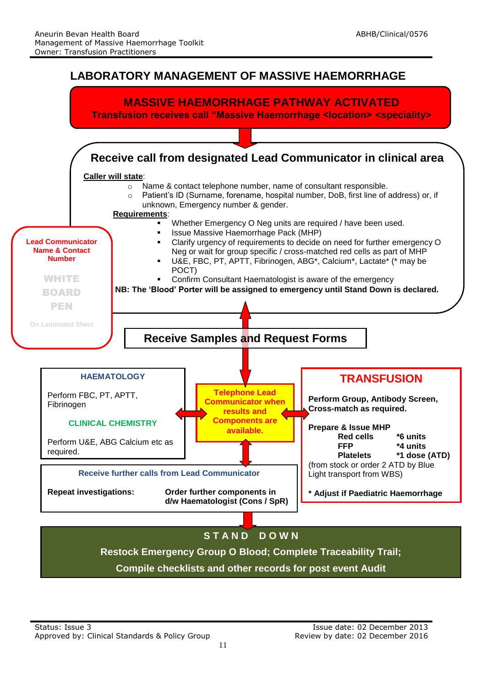

**Restock Emergency Group O Blood; Complete Traceability Trail; Compile checklists and other records for post event Audit**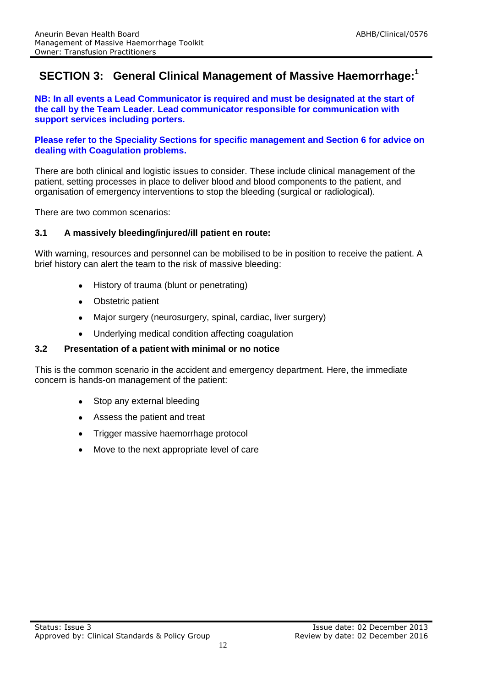### **SECTION 3: General Clinical Management of Massive Haemorrhage:<sup>1</sup>**

**NB: In all events a Lead Communicator is required and must be designated at the start of the call by the Team Leader. Lead communicator responsible for communication with support services including porters.**

#### **Please refer to the Speciality Sections for specific management and Section 6 for advice on dealing with Coagulation problems.**

There are both clinical and logistic issues to consider. These include clinical management of the patient, setting processes in place to deliver blood and blood components to the patient, and organisation of emergency interventions to stop the bleeding (surgical or radiological).

There are two common scenarios:

#### **3.1 A massively bleeding/injured/ill patient en route:**

With warning, resources and personnel can be mobilised to be in position to receive the patient. A brief history can alert the team to the risk of massive bleeding:

- History of trauma (blunt or penetrating)
- Obstetric patient
- Major surgery (neurosurgery, spinal, cardiac, liver surgery)  $\bullet$
- $\bullet$ Underlying medical condition affecting coagulation

#### **3.2 Presentation of a patient with minimal or no notice**

This is the common scenario in the accident and emergency department. Here, the immediate concern is hands-on management of the patient:

- Stop any external bleeding
- Assess the patient and treat
- Trigger massive haemorrhage protocol
- Move to the next appropriate level of care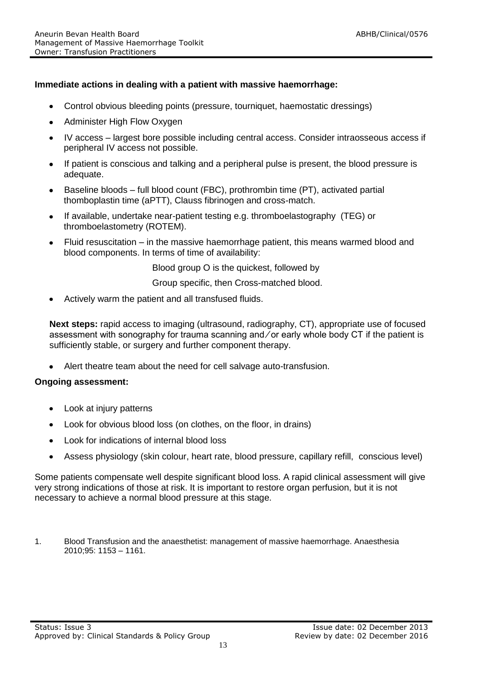#### **Immediate actions in dealing with a patient with massive haemorrhage:**

- Control obvious bleeding points (pressure, tourniquet, haemostatic dressings)
- Administer High Flow Oxygen
- IV access largest bore possible including central access. Consider intraosseous access if peripheral IV access not possible.
- $\bullet$ If patient is conscious and talking and a peripheral pulse is present, the blood pressure is adequate.
- Baseline bloods full blood count (FBC), prothrombin time (PT), activated partial thomboplastin time (aPTT), Clauss fibrinogen and cross-match.
- If available, undertake near-patient testing e.g. thromboelastography (TEG) or  $\bullet$ thromboelastometry (ROTEM).
- Fluid resuscitation in the massive haemorrhage patient, this means warmed blood and  $\bullet$ blood components. In terms of time of availability:

Blood group O is the quickest, followed by

Group specific, then Cross-matched blood.

Actively warm the patient and all transfused fluids.

**Next steps:** rapid access to imaging (ultrasound, radiography, CT), appropriate use of focused assessment with sonography for trauma scanning and ⁄ or early whole body CT if the patient is sufficiently stable, or surgery and further component therapy.

Alert theatre team about the need for cell salvage auto-transfusion.

#### **Ongoing assessment:**

- Look at injury patterns
- Look for obvious blood loss (on clothes, on the floor, in drains)
- Look for indications of internal blood loss
- Assess physiology (skin colour, heart rate, blood pressure, capillary refill, conscious level)  $\bullet$

Some patients compensate well despite significant blood loss. A rapid clinical assessment will give very strong indications of those at risk. It is important to restore organ perfusion, but it is not necessary to achieve a normal blood pressure at this stage.

1. Blood Transfusion and the anaesthetist: management of massive haemorrhage. Anaesthesia 2010;95: 1153 – 1161.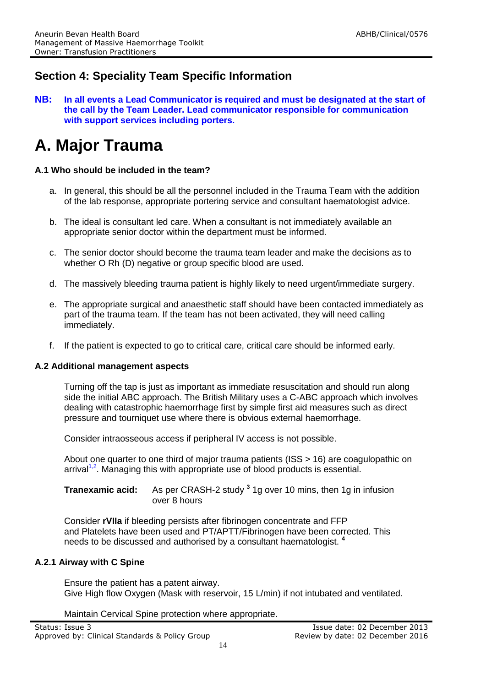## **Section 4: Speciality Team Specific Information**

**NB: In all events a Lead Communicator is required and must be designated at the start of the call by the Team Leader. Lead communicator responsible for communication with support services including porters.**

## **A. Major Trauma**

#### **A.1 Who should be included in the team?**

- a. In general, this should be all the personnel included in the Trauma Team with the addition of the lab response, appropriate portering service and consultant haematologist advice.
- b. The ideal is consultant led care. When a consultant is not immediately available an appropriate senior doctor within the department must be informed.
- c. The senior doctor should become the trauma team leader and make the decisions as to whether O Rh (D) negative or group specific blood are used.
- d. The massively bleeding trauma patient is highly likely to need urgent/immediate surgery.
- e. The appropriate surgical and anaesthetic staff should have been contacted immediately as part of the trauma team. If the team has not been activated, they will need calling immediately.
- If the patient is expected to go to critical care, critical care should be informed early.

#### **A.2 Additional management aspects**

Turning off the tap is just as important as immediate resuscitation and should run along side the initial ABC approach. The British Military uses a C-ABC approach which involves dealing with catastrophic haemorrhage first by simple first aid measures such as direct pressure and tourniquet use where there is obvious external haemorrhage.

Consider intraosseous access if peripheral IV access is not possible.

About one quarter to one third of major trauma patients (ISS > 16) are coagulopathic on  $arrival<sup>1,2</sup>$ . Managing this with appropriate use of blood products is essential.

**Tranexamic acid:** As per CRASH-2 study **<sup>3</sup>** 1g over 10 mins, then 1g in infusion over 8 hours

Consider **rVIIa** if bleeding persists after fibrinogen concentrate and FFP and Platelets have been used and PT/APTT/Fibrinogen have been corrected. This needs to be discussed and authorised by a consultant haematologist. **<sup>4</sup>**

#### **A.2.1 Airway with C Spine**

Ensure the patient has a patent airway. Give High flow Oxygen (Mask with reservoir, 15 L/min) if not intubated and ventilated.

Maintain Cervical Spine protection where appropriate.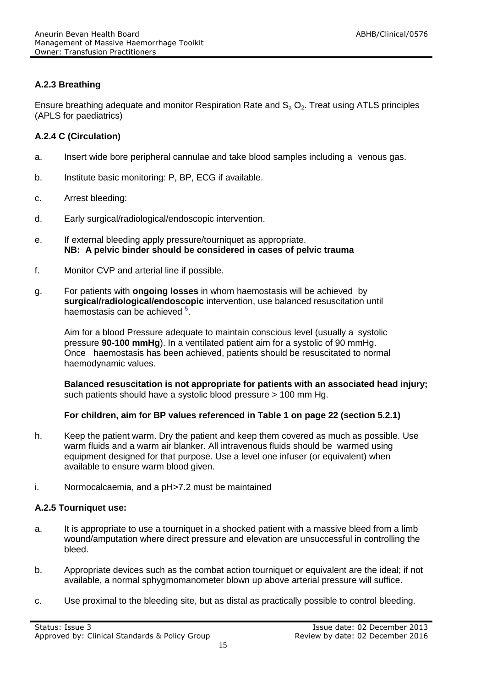#### **A.2.3 Breathing**

Ensure breathing adequate and monitor Respiration Rate and  $S_a O_2$ . Treat using ATLS principles (APLS for paediatrics)

#### **A.2.4 C (Circulation)**

- a. Insert wide bore peripheral cannulae and take blood samples including a venous gas.
- b. Institute basic monitoring: P, BP, ECG if available.
- c. Arrest bleeding:
- d. Early surgical/radiological/endoscopic intervention.
- e. If external bleeding apply pressure/tourniquet as appropriate. **NB: A pelvic binder should be considered in cases of pelvic trauma**
- f. Monitor CVP and arterial line if possible.
- g. For patients with **ongoing losses** in whom haemostasis will be achieved by **surgical/radiological/endoscopic** intervention, use balanced resuscitation until haemostasis can be achieved <sup>5</sup>

Aim for a blood Pressure adequate to maintain conscious level (usually a systolic pressure **90-100 mmHg**). In a ventilated patient aim for a systolic of 90 mmHg. Once haemostasis has been achieved, patients should be resuscitated to normal haemodynamic values.

**Balanced resuscitation is not appropriate for patients with an associated head injury;**  such patients should have a systolic blood pressure > 100 mm Hg.

#### **For children, aim for BP values referenced in Table 1 on page 22 (section 5.2.1)**

- h. Keep the patient warm. Dry the patient and keep them covered as much as possible. Use warm fluids and a warm air blanker. All intravenous fluids should be warmed using equipment designed for that purpose. Use a level one infuser (or equivalent) when available to ensure warm blood given.
- i. Normocalcaemia, and a pH>7.2 must be maintained

#### **A.2.5 Tourniquet use:**

- a. It is appropriate to use a tourniquet in a shocked patient with a massive bleed from a limb wound/amputation where direct pressure and elevation are unsuccessful in controlling the bleed.
- b. Appropriate devices such as the combat action tourniquet or equivalent are the ideal; if not available, a normal sphygmomanometer blown up above arterial pressure will suffice.
- c. Use proximal to the bleeding site, but as distal as practically possible to control bleeding.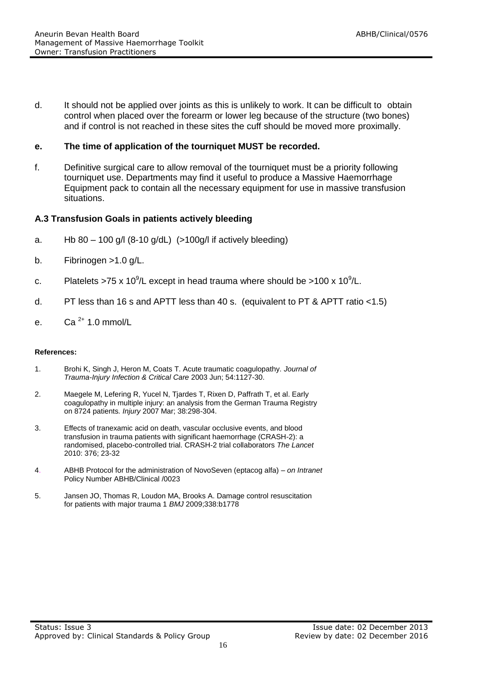d. It should not be applied over joints as this is unlikely to work. It can be difficult to obtain control when placed over the forearm or lower leg because of the structure (two bones) and if control is not reached in these sites the cuff should be moved more proximally.

#### **e. The time of application of the tourniquet MUST be recorded.**

f. Definitive surgical care to allow removal of the tourniquet must be a priority following tourniquet use. Departments may find it useful to produce a Massive Haemorrhage Equipment pack to contain all the necessary equipment for use in massive transfusion situations.

#### **A.3 Transfusion Goals in patients actively bleeding**

- a. Hb  $80 100$  g/l  $(8-10$  g/dL $)$   $(>100$ g/l if actively bleeding)
- b. Fibrinogen >1.0 g/L.
- c. Platelets >75 x 10<sup>9</sup>/L except in head trauma where should be >100 x 10<sup>9</sup>/L.
- d. PT less than 16 s and APTT less than 40 s. (equivalent to PT & APTT ratio <1.5)
- e.  $Ca^{2+}$  1.0 mmol/L

#### **References:**

- 1. Brohi K, Singh J, Heron M, Coats T. Acute traumatic coagulopathy. *Journal of Trauma-Injury Infection & Critical Care* 2003 Jun; 54:1127-30.
- 2. Maegele M, Lefering R, Yucel N, Tjardes T, Rixen D, Paffrath T, et al. Early coagulopathy in multiple injury: an analysis from the German Trauma Registry on 8724 patients*. Injury* 2007 Mar; 38:298-304.
- 3. Effects of tranexamic acid on death, vascular occlusive events, and blood transfusion in trauma patients with significant haemorrhage (CRASH-2): a randomised, placebo-controlled trial. CRASH-2 trial collaborators *The Lancet* 2010: 376; 23-32
- 4. ABHB Protocol for the administration of NovoSeven (eptacog alfa) *on Intranet* Policy Number ABHB/Clinical /0023
- 5. Jansen JO, Thomas R, Loudon MA, Brooks A. Damage control resuscitation for patients with major trauma 1 *BMJ* 2009;338:b1778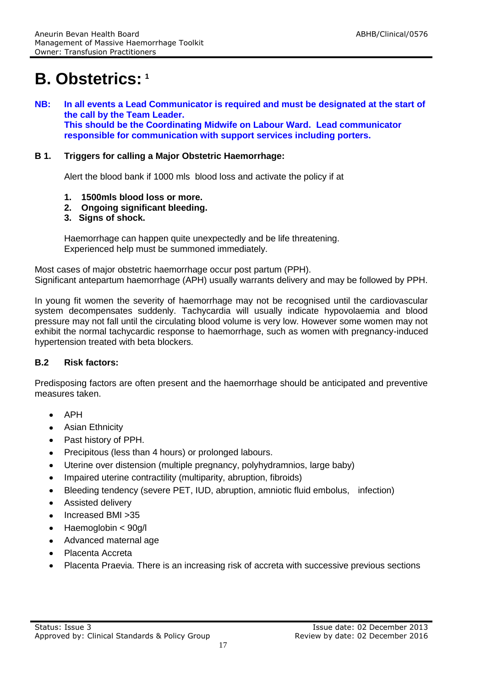## **B. Obstetrics: <sup>1</sup>**

**NB: In all events a Lead Communicator is required and must be designated at the start of the call by the Team Leader. This should be the Coordinating Midwife on Labour Ward. Lead communicator responsible for communication with support services including porters.**

#### **B 1. Triggers for calling a Major Obstetric Haemorrhage:**

Alert the blood bank if 1000 mls blood loss and activate the policy if at

- **1. 1500mls blood loss or more.**
- **2. Ongoing significant bleeding.**
- **3. Signs of shock.**

Haemorrhage can happen quite unexpectedly and be life threatening. Experienced help must be summoned immediately.

Most cases of major obstetric haemorrhage occur post partum (PPH). Significant antepartum haemorrhage (APH) usually warrants delivery and may be followed by PPH.

In young fit women the severity of haemorrhage may not be recognised until the cardiovascular system decompensates suddenly. Tachycardia will usually indicate hypovolaemia and blood pressure may not fall until the circulating blood volume is very low. However some women may not exhibit the normal tachycardic response to haemorrhage, such as women with pregnancy-induced hypertension treated with beta blockers.

#### **B.2 Risk factors:**

Predisposing factors are often present and the haemorrhage should be anticipated and preventive measures taken.

- APH
- Asian Ethnicity  $\bullet$
- Past history of PPH.
- Precipitous (less than 4 hours) or prolonged labours.  $\bullet$
- Uterine over distension (multiple pregnancy, polyhydramnios, large baby)
- Impaired uterine contractility (multiparity, abruption, fibroids)  $\bullet$
- Bleeding tendency (severe PET, IUD, abruption, amniotic fluid embolus, infection)
- Assisted delivery
- Increased BMI >35
- Haemoglobin < 90g/l  $\bullet$
- Advanced maternal age
- Placenta Accreta
- Placenta Praevia. There is an increasing risk of accreta with successive previous sections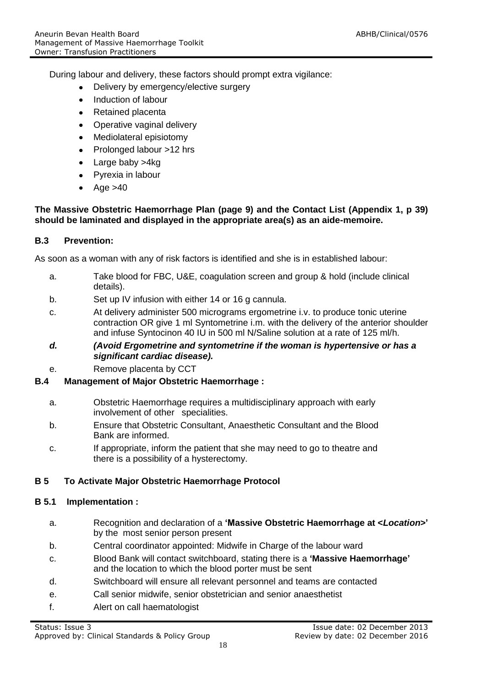During labour and delivery, these factors should prompt extra vigilance:

- Delivery by emergency/elective surgery
- Induction of labour
- Retained placenta
- Operative vaginal delivery  $\bullet$
- Mediolateral episiotomy
- Prolonged labour >12 hrs
- Large baby >4kg
- Pyrexia in labour
- Age  $>40$

#### **The Massive Obstetric Haemorrhage Plan (page 9) and the Contact List (Appendix 1, p 39) should be laminated and displayed in the appropriate area(s) as an aide-memoire.**

#### **B.3 Prevention:**

As soon as a woman with any of risk factors is identified and she is in established labour:

- a. Take blood for FBC, U&E, coagulation screen and group & hold (include clinical details).
- b. Set up IV infusion with either 14 or 16 g cannula.
- c. At delivery administer 500 micrograms ergometrine i.v. to produce tonic uterine contraction OR give 1 ml Syntometrine i.m. with the delivery of the anterior shoulder and infuse Syntocinon 40 IU in 500 ml N/Saline solution at a rate of 125 ml/h.
- *d. (Avoid Ergometrine and syntometrine if the woman is hypertensive or has a significant cardiac disease).*
- e. Remove placenta by CCT

#### **B.4 Management of Major Obstetric Haemorrhage :**

- a. Obstetric Haemorrhage requires a multidisciplinary approach with early involvement of other specialities.
- b. Ensure that Obstetric Consultant, Anaesthetic Consultant and the Blood Bank are informed.
- c. If appropriate, inform the patient that she may need to go to theatre and there is a possibility of a hysterectomy.

#### **B 5 To Activate Major Obstetric Haemorrhage Protocol**

#### **B 5.1 Implementation :**

- a. Recognition and declaration of a **'Massive Obstetric Haemorrhage at <***Location***>'** by the most senior person present
- b. Central coordinator appointed: Midwife in Charge of the labour ward
- c. Blood Bank will contact switchboard, stating there is a **'Massive Haemorrhage'**  and the location to which the blood porter must be sent
- d. Switchboard will ensure all relevant personnel and teams are contacted
- e. Call senior midwife, senior obstetrician and senior anaesthetist
- f. Alert on call haematologist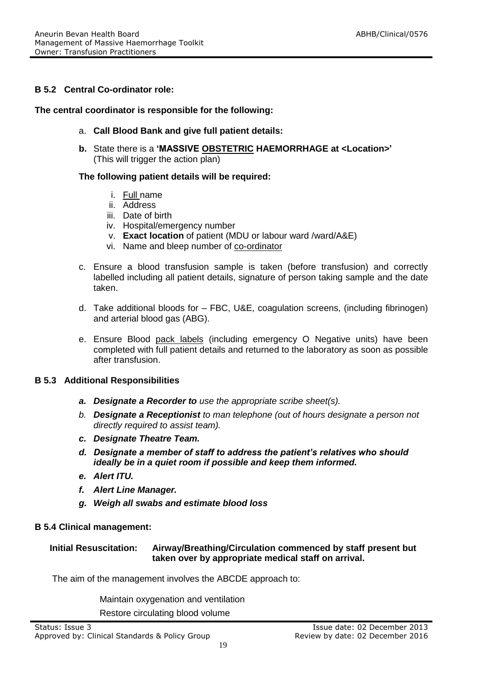#### **B 5.2 Central Co-ordinator role:**

#### **The central coordinator is responsible for the following:**

- a. **Call Blood Bank and give full patient details:**
- **b.** State there is a **'MASSIVE OBSTETRIC HAEMORRHAGE at <Location>'**  (This will trigger the action plan)

#### **The following patient details will be required:**

- i. Full name
- ii. Address
- iii. Date of birth
- iv. Hospital/emergency number
- v. **Exact location** of patient (MDU or labour ward /ward/A&E)
- vi. Name and bleep number of co-ordinator
- c. Ensure a blood transfusion sample is taken (before transfusion) and correctly labelled including all patient details, signature of person taking sample and the date taken.
- d. Take additional bloods for FBC, U&E, coagulation screens, (including fibrinogen) and arterial blood gas (ABG).
- e. Ensure Blood pack labels (including emergency O Negative units) have been completed with full patient details and returned to the laboratory as soon as possible after transfusion.

#### **B 5.3 Additional Responsibilities**

- *a. Designate a Recorder to use the appropriate scribe sheet(s).*
- *b. Designate a Receptionist to man telephone (out of hours designate a person not directly required to assist team).*
- *c. Designate Theatre Team.*
- *d. Designate a member of staff to address the patient's relatives who should ideally be in a quiet room if possible and keep them informed.*
- *e. Alert ITU.*
- *f. Alert Line Manager.*
- *g. Weigh all swabs and estimate blood loss*

#### **B 5.4 Clinical management:**

#### **Initial Resuscitation: Airway/Breathing/Circulation commenced by staff present but taken over by appropriate medical staff on arrival.**

The aim of the management involves the ABCDE approach to:

Maintain oxygenation and ventilation

Restore circulating blood volume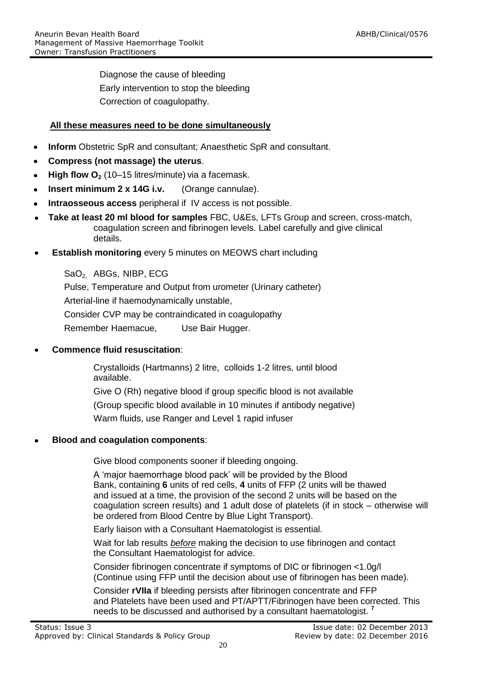Diagnose the cause of bleeding Early intervention to stop the bleeding Correction of coagulopathy.

#### **All these measures need to be done simultaneously**

- **Inform** Obstetric SpR and consultant; Anaesthetic SpR and consultant.
- **Compress (not massage) the uterus**.
- **High flow O**<sub>2</sub> (10–15 litres/minute) via a facemask.
- **Insert minimum 2 x 14G i.v.** (Orange cannulae).  $\bullet$
- **Intraosseous access** peripheral if IV access is not possible.
- **Take at least 20 ml blood for samples** FBC, U&Es, LFTs Group and screen, cross-match, coagulation screen and fibrinogen levels. Label carefully and give clinical details.
- **Establish monitoring** every 5 minutes on MEOWS chart including

SaO<sub>2</sub> ABGs, NIBP, ECG Pulse, Temperature and Output from urometer (Urinary catheter) Arterial-line if haemodynamically unstable, Consider CVP may be contraindicated in coagulopathy Remember Haemacue. Use Bair Hugger.

#### **Commence fluid resuscitation**:

Crystalloids (Hartmanns) 2 litre, colloids 1-2 litres, until blood available.

Give O (Rh) negative blood if group specific blood is not available

(Group specific blood available in 10 minutes if antibody negative)

Warm fluids, use Ranger and Level 1 rapid infuser

#### **Blood and coagulation components**:

Give blood components sooner if bleeding ongoing.

A 'major haemorrhage blood pack' will be provided by the Blood Bank, containing **6** units of red cells, **4** units of FFP (2 units will be thawed and issued at a time, the provision of the second 2 units will be based on the coagulation screen results) and 1 adult dose of platelets (if in stock – otherwise will be ordered from Blood Centre by Blue Light Transport).

Early liaison with a Consultant Haematologist is essential.

Wait for lab results *before* making the decision to use fibrinogen and contact the Consultant Haematologist for advice.

Consider fibrinogen concentrate if symptoms of DIC or fibrinogen <1.0g/l (Continue using FFP until the decision about use of fibrinogen has been made).

Consider **rVIIa** if bleeding persists after fibrinogen concentrate and FFP and Platelets have been used and PT/APTT/Fibrinogen have been corrected. This needs to be discussed and authorised by a consultant haematologist. **<sup>7</sup>**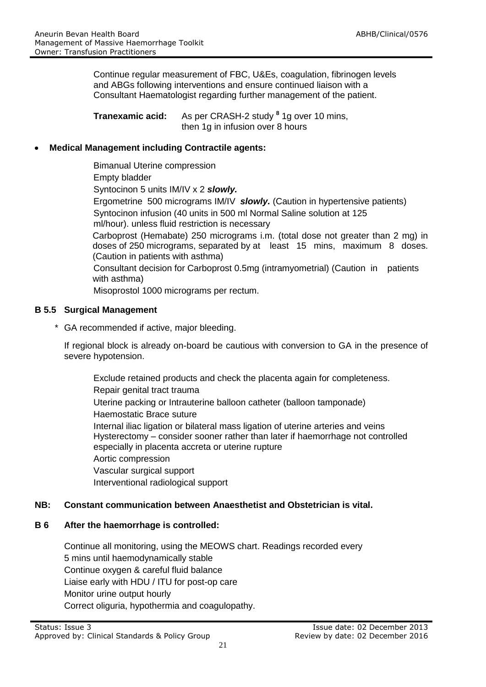Continue regular measurement of FBC, U&Es, coagulation, fibrinogen levels and ABGs following interventions and ensure continued liaison with a Consultant Haematologist regarding further management of the patient.

**Tranexamic acid:** As per CRASH-2 study **<sup>8</sup>** 1g over 10 mins, then 1g in infusion over 8 hours

#### **Medical Management including Contractile agents:**

Bimanual Uterine compression Empty bladder Syntocinon 5 units IM/IV x 2 *slowly.* Ergometrine 500 micrograms IM/IV *slowly.* (Caution in hypertensive patients) Syntocinon infusion (40 units in 500 ml Normal Saline solution at 125 ml/hour). unless fluid restriction is necessary Carboprost (Hemabate) 250 micrograms i.m. (total dose not greater than 2 mg) in doses of 250 micrograms, separated by at least 15 mins, maximum 8 doses. (Caution in patients with asthma) Consultant decision for Carboprost 0.5mg (intramyometrial) (Caution in patients with asthma)

Misoprostol 1000 micrograms per rectum.

#### **B 5.5 Surgical Management**

\* GA recommended if active, major bleeding.

If regional block is already on-board be cautious with conversion to GA in the presence of severe hypotension.

Exclude retained products and check the placenta again for completeness. Repair genital tract trauma Uterine packing or Intrauterine balloon catheter (balloon tamponade) Haemostatic Brace suture Internal iliac ligation or bilateral mass ligation of uterine arteries and veins Hysterectomy – consider sooner rather than later if haemorrhage not controlled especially in placenta accreta or uterine rupture Aortic compression Vascular surgical support Interventional radiological support

#### **NB: Constant communication between Anaesthetist and Obstetrician is vital.**

#### **B 6 After the haemorrhage is controlled:**

Continue all monitoring, using the MEOWS chart. Readings recorded every 5 mins until haemodynamically stable Continue oxygen & careful fluid balance Liaise early with HDU / ITU for post-op care Monitor urine output hourly Correct oliguria, hypothermia and coagulopathy.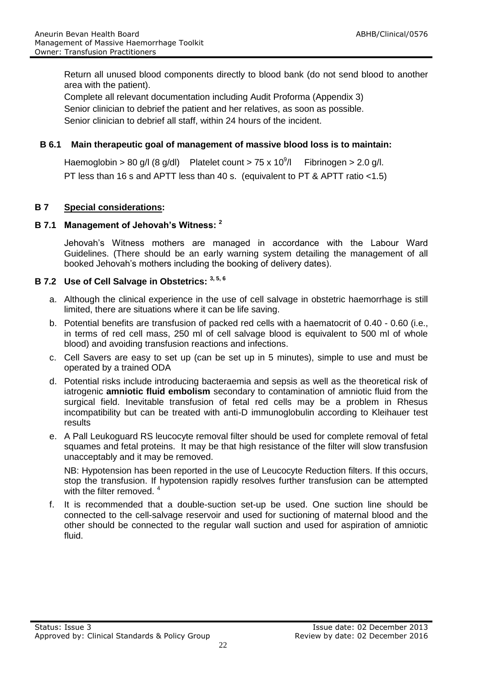Return all unused blood components directly to blood bank (do not send blood to another area with the patient).

Complete all relevant documentation including Audit Proforma (Appendix 3) Senior clinician to debrief the patient and her relatives, as soon as possible. Senior clinician to debrief all staff, within 24 hours of the incident.

#### **B 6.1 Main therapeutic goal of management of massive blood loss is to maintain:**

Haemoglobin > 80 g/l (8 g/dl) Platelet count > 75 x  $10^9$ /l Fibrinogen  $> 2.0$  g/l. PT less than 16 s and APTT less than 40 s. (equivalent to PT & APTT ratio <1.5)

#### **B 7 Special considerations:**

#### **B 7.1 Management of Jehovah's Witness: <sup>2</sup>**

Jehovah's Witness mothers are managed in accordance with the Labour Ward Guidelines. (There should be an early warning system detailing the management of all booked Jehovah's mothers including the booking of delivery dates).

#### **B 7.2 Use of Cell Salvage in Obstetrics: 3, 5, 6**

- a. Although the clinical experience in the use of cell salvage in obstetric haemorrhage is still limited, there are situations where it can be life saving.
- b. Potential benefits are transfusion of packed red cells with a haematocrit of 0.40 0.60 (i.e., in terms of red cell mass, 250 ml of cell salvage blood is equivalent to 500 ml of whole blood) and avoiding transfusion reactions and infections.
- c. Cell Savers are easy to set up (can be set up in 5 minutes), simple to use and must be operated by a trained ODA
- d. Potential risks include introducing bacteraemia and sepsis as well as the theoretical risk of iatrogenic **amniotic fluid embolism** secondary to contamination of amniotic fluid from the surgical field. Inevitable transfusion of fetal red cells may be a problem in Rhesus incompatibility but can be treated with anti-D immunoglobulin according to Kleihauer test results
- e. A Pall Leukoguard RS leucocyte removal filter should be used for complete removal of fetal squames and fetal proteins. It may be that high resistance of the filter will slow transfusion unacceptably and it may be removed.

NB: Hypotension has been reported in the use of Leucocyte Reduction filters. If this occurs, stop the transfusion. If hypotension rapidly resolves further transfusion can be attempted with the filter removed.

f. It is recommended that a double-suction set-up be used. One suction line should be connected to the cell-salvage reservoir and used for suctioning of maternal blood and the other should be connected to the regular wall suction and used for aspiration of amniotic fluid.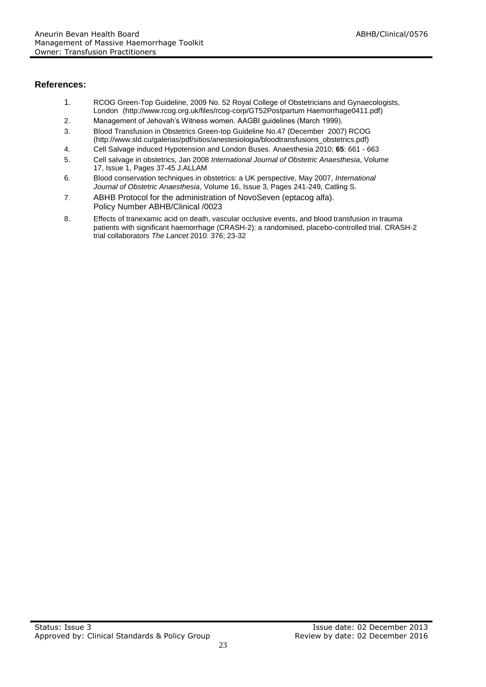#### **References:**

- 1. RCOG Green-Top Guideline, 2009 No. 52 Royal College of Obstetricians and Gynaecologists, London (http://www.rcog.org.uk/files/rcog-corp/GT52Postpartum Haemorrhage0411.pdf)
- 2. Management of Jehovah's Witness women. AAGBI guidelines (March 1999).
- 3. Blood Transfusion in Obstetrics Green-top Guideline No.47 (December 2007) RCOG (http://www.sld.cu/galerias/pdf/sitios/anestesiologia/bloodtransfusions\_obstetrics.pdf)
- 4. Cell Salvage induced Hypotension and London Buses. Anaesthesia 2010; **65**: 661 663
- 5. Cell salvage in obstetrics, Jan 2008 *International Journal of Obstetric Anaesthesia*, Volume 17, Issue 1, Pages 37-45 J.ALLAM
- 6. Blood conservation techniques in obstetrics: a UK perspective, May 2007, *International Journal of Obstetric Anaesthesia*, Volume 16, Issue 3, Pages 241-249, Catling S.
- 7. ABHB Protocol for the administration of NovoSeven (eptacog alfa). Policy Number ABHB/Clinical /0023
- 8. Effects of tranexamic acid on death, vascular occlusive events, and blood transfusion in trauma patients with significant haemorrhage (CRASH-2): a randomised, placebo-controlled trial. CRASH-2 trial collaborators *The Lancet* 2010: 376; 23-32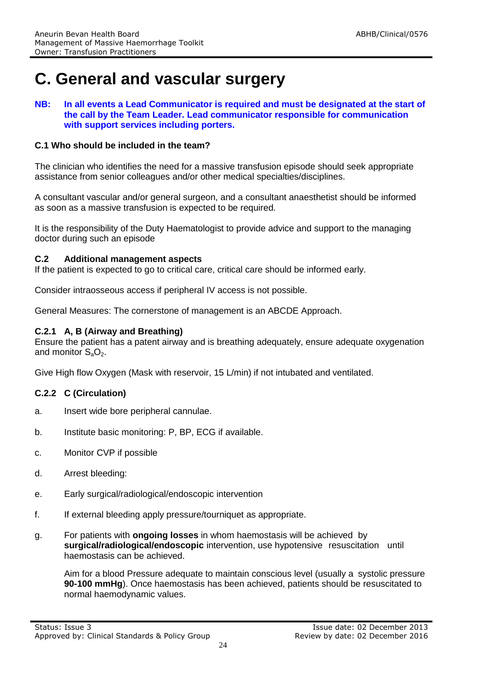## **C. General and vascular surgery**

**NB: In all events a Lead Communicator is required and must be designated at the start of the call by the Team Leader. Lead communicator responsible for communication with support services including porters.**

#### **C.1 Who should be included in the team?**

The clinician who identifies the need for a massive transfusion episode should seek appropriate assistance from senior colleagues and/or other medical specialties/disciplines.

A consultant vascular and/or general surgeon, and a consultant anaesthetist should be informed as soon as a massive transfusion is expected to be required.

It is the responsibility of the Duty Haematologist to provide advice and support to the managing doctor during such an episode

#### **C.2 Additional management aspects**

If the patient is expected to go to critical care, critical care should be informed early.

Consider intraosseous access if peripheral IV access is not possible.

General Measures: The cornerstone of management is an ABCDE Approach.

#### **C.2.1 A, B (Airway and Breathing)**

Ensure the patient has a patent airway and is breathing adequately, ensure adequate oxygenation and monitor  $S_3O_2$ .

Give High flow Oxygen (Mask with reservoir, 15 L/min) if not intubated and ventilated.

#### **C.2.2 C (Circulation)**

- a. Insert wide bore peripheral cannulae.
- b. Institute basic monitoring: P, BP, ECG if available.
- c. Monitor CVP if possible
- d. Arrest bleeding:
- e. Early surgical/radiological/endoscopic intervention
- f. If external bleeding apply pressure/tourniquet as appropriate.
- g. For patients with **ongoing losses** in whom haemostasis will be achieved by **surgical/radiological/endoscopic** intervention, use hypotensive resuscitation until haemostasis can be achieved.

Aim for a blood Pressure adequate to maintain conscious level (usually a systolic pressure **90-100 mmHg**). Once haemostasis has been achieved, patients should be resuscitated to normal haemodynamic values.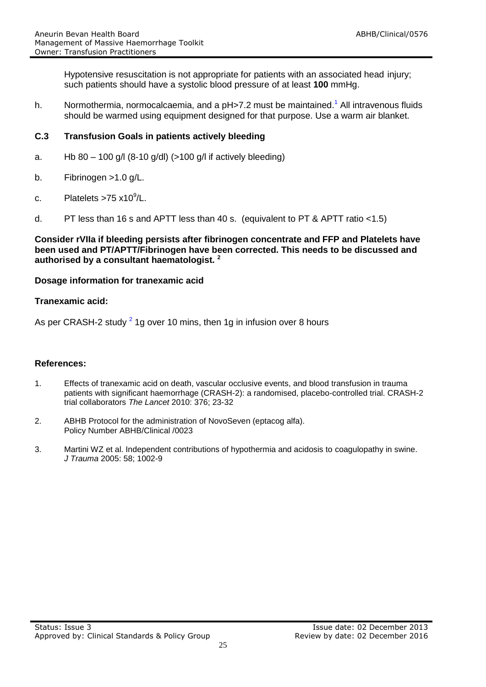Hypotensive resuscitation is not appropriate for patients with an associated head injury; such patients should have a systolic blood pressure of at least **100** mmHg.

h. Normothermia, normocalcaemia, and a pH>7.2 must be maintained.<sup>1</sup> All intravenous fluids should be warmed using equipment designed for that purpose. Use a warm air blanket.

#### **C.3 Transfusion Goals in patients actively bleeding**

- a. Hb 80 100 g/l  $(8-10 \text{ g/d})$   $(>100 \text{ g/l}$  if actively bleeding)
- b. Fibrinogen >1.0 g/L.
- c. Platelets >75 x10 $^9$ /L.
- d. PT less than 16 s and APTT less than 40 s. (equivalent to PT & APTT ratio <1.5)

#### **Consider rVIIa if bleeding persists after fibrinogen concentrate and FFP and Platelets have been used and PT/APTT/Fibrinogen have been corrected. This needs to be discussed and authorised by a consultant haematologist. <sup>2</sup>**

#### **Dosage information for tranexamic acid**

#### **Tranexamic acid:**

As per CRASH-2 study  $^2$  1g over 10 mins, then 1g in infusion over 8 hours

#### **References:**

- 1. Effects of tranexamic acid on death, vascular occlusive events, and blood transfusion in trauma patients with significant haemorrhage (CRASH-2): a randomised, placebo-controlled trial. CRASH-2 trial collaborators *The Lancet* 2010: 376; 23-32
- 2. ABHB Protocol for the administration of NovoSeven (eptacog alfa). Policy Number ABHB/Clinical /0023
- 3. Martini WZ et al. Independent contributions of hypothermia and acidosis to coagulopathy in swine. *J Trauma* 2005: 58; 1002-9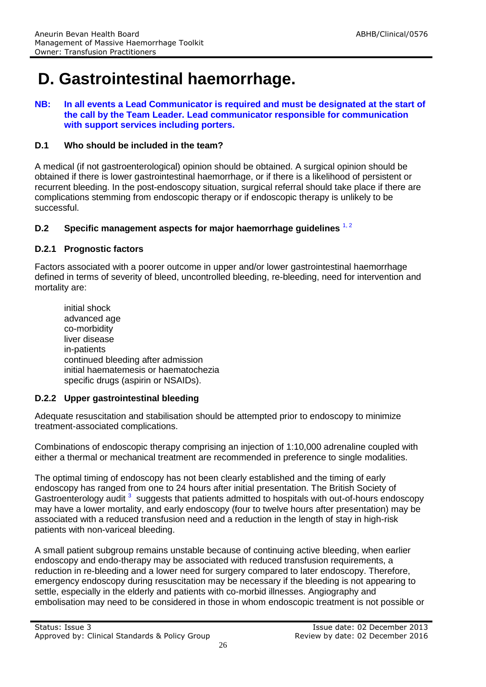## **D. Gastrointestinal haemorrhage.**

#### **NB: In all events a Lead Communicator is required and must be designated at the start of the call by the Team Leader. Lead communicator responsible for communication with support services including porters.**

#### **D.1 Who should be included in the team?**

A medical (if not gastroenterological) opinion should be obtained. A surgical opinion should be obtained if there is lower gastrointestinal haemorrhage, or if there is a likelihood of persistent or recurrent bleeding. In the post-endoscopy situation, surgical referral should take place if there are complications stemming from endoscopic therapy or if endoscopic therapy is unlikely to be successful.

#### **D.2** Specific management aspects for major haemorrhage guidelines <sup>1, 2</sup>

#### **D.2.1 Prognostic factors**

Factors associated with a poorer outcome in upper and/or lower gastrointestinal haemorrhage defined in terms of severity of bleed, uncontrolled bleeding, re-bleeding, need for intervention and mortality are:

initial shock advanced age co-morbidity liver disease in-patients continued bleeding after admission initial haematemesis or haematochezia specific drugs (aspirin or NSAIDs).

#### **D.2.2 Upper gastrointestinal bleeding**

Adequate resuscitation and stabilisation should be attempted prior to endoscopy to minimize treatment-associated complications.

Combinations of endoscopic therapy comprising an injection of 1:10,000 adrenaline coupled with either a thermal or mechanical treatment are recommended in preference to single modalities.

The optimal timing of endoscopy has not been clearly established and the timing of early endoscopy has ranged from one to 24 hours after initial presentation. The British Society of Gastroenterology audit <sup>3</sup> suggests that patients admitted to hospitals with out-of-hours endoscopy may have a lower mortality, and early endoscopy (four to twelve hours after presentation) may be associated with a reduced transfusion need and a reduction in the length of stay in high-risk patients with non-variceal bleeding.

A small patient subgroup remains unstable because of continuing active bleeding, when earlier endoscopy and endo-therapy may be associated with reduced transfusion requirements, a reduction in re-bleeding and a lower need for surgery compared to later endoscopy. Therefore, emergency endoscopy during resuscitation may be necessary if the bleeding is not appearing to settle, especially in the elderly and patients with co-morbid illnesses. Angiography and embolisation may need to be considered in those in whom endoscopic treatment is not possible or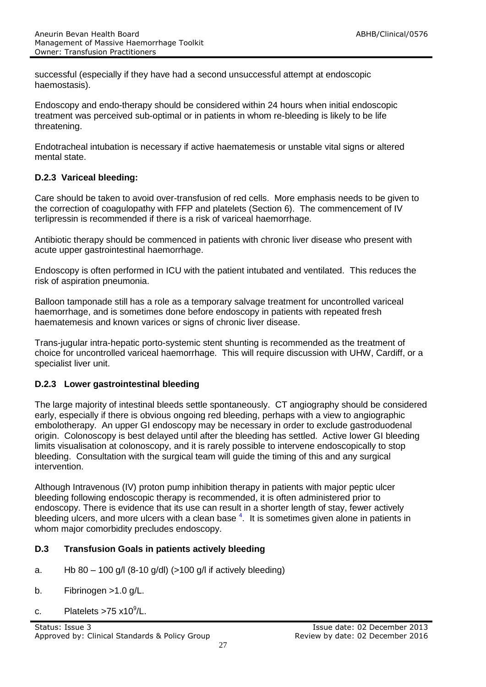successful (especially if they have had a second unsuccessful attempt at endoscopic haemostasis).

Endoscopy and endo-therapy should be considered within 24 hours when initial endoscopic treatment was perceived sub-optimal or in patients in whom re-bleeding is likely to be life threatening.

Endotracheal intubation is necessary if active haematemesis or unstable vital signs or altered mental state.

#### **D.2.3 Variceal bleeding:**

Care should be taken to avoid over-transfusion of red cells. More emphasis needs to be given to the correction of coagulopathy with FFP and platelets (Section 6). The commencement of IV terlipressin is recommended if there is a risk of variceal haemorrhage.

Antibiotic therapy should be commenced in patients with chronic liver disease who present with acute upper gastrointestinal haemorrhage.

Endoscopy is often performed in ICU with the patient intubated and ventilated. This reduces the risk of aspiration pneumonia.

Balloon tamponade still has a role as a temporary salvage treatment for uncontrolled variceal haemorrhage, and is sometimes done before endoscopy in patients with repeated fresh haematemesis and known varices or signs of chronic liver disease.

Trans-jugular intra-hepatic porto-systemic stent shunting is recommended as the treatment of choice for uncontrolled variceal haemorrhage. This will require discussion with UHW, Cardiff, or a specialist liver unit.

#### **D.2.3 Lower gastrointestinal bleeding**

The large majority of intestinal bleeds settle spontaneously. CT angiography should be considered early, especially if there is obvious ongoing red bleeding, perhaps with a view to angiographic embolotherapy. An upper GI endoscopy may be necessary in order to exclude gastroduodenal origin. Colonoscopy is best delayed until after the bleeding has settled. Active lower GI bleeding limits visualisation at colonoscopy, and it is rarely possible to intervene endoscopically to stop bleeding. Consultation with the surgical team will guide the timing of this and any surgical intervention.

Although Intravenous (IV) proton pump inhibition therapy in patients with major peptic ulcer bleeding following endoscopic therapy is recommended, it is often administered prior to endoscopy. There is evidence that its use can result in a shorter length of stay, fewer actively bleeding ulcers, and more ulcers with a clean base <sup>4</sup>. It is sometimes given alone in patients in whom major comorbidity precludes endoscopy.

#### **D.3 Transfusion Goals in patients actively bleeding**

- a. Hb  $80 100$  g/l  $(8-10$  g/dl $)(>100$  g/l if actively bleeding
- b. Fibrinogen >1.0 g/L.
- c. Platelets >75  $x10^9$ /L.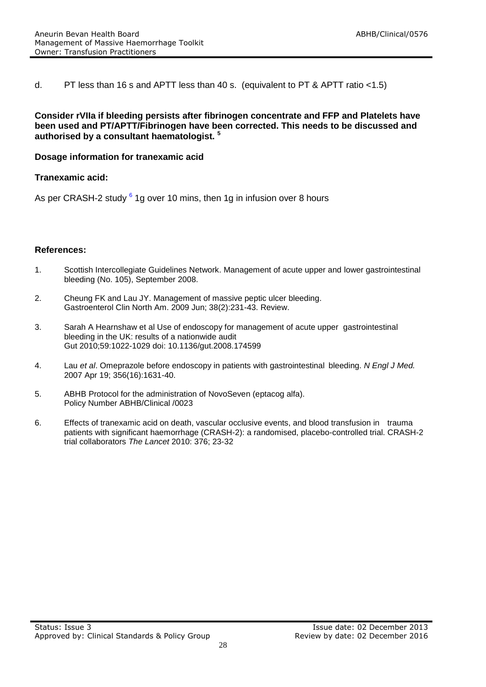d. PT less than 16 s and APTT less than 40 s. (equivalent to PT & APTT ratio <1.5)

#### **Consider rVIIa if bleeding persists after fibrinogen concentrate and FFP and Platelets have been used and PT/APTT/Fibrinogen have been corrected. This needs to be discussed and authorised by a consultant haematologist. <sup>5</sup>**

#### **Dosage information for tranexamic acid**

#### **Tranexamic acid:**

As per CRASH-2 study <sup>6</sup> 1g over 10 mins, then 1g in infusion over 8 hours

#### **References:**

- 1. Scottish Intercollegiate Guidelines Network. Management of acute upper and lower gastrointestinal bleeding (No. 105), September 2008.
- 2. Cheung FK and Lau JY. Management of massive peptic ulcer bleeding. Gastroenterol Clin North Am. 2009 Jun; 38(2):231-43. Review.
- 3. Sarah A Hearnshaw et al Use of endoscopy for management of acute upper gastrointestinal bleeding in the UK: results of a nationwide audit Gut 2010;59:1022-1029 doi: 10.1136/gut.2008.174599
- 4. Lau *et al*. Omeprazole before endoscopy in patients with gastrointestinal bleeding. *N Engl J Med.*  2007 Apr 19; 356(16):1631-40.
- 5. ABHB Protocol for the administration of NovoSeven (eptacog alfa). Policy Number ABHB/Clinical /0023
- 6. Effects of tranexamic acid on death, vascular occlusive events, and blood transfusion in trauma patients with significant haemorrhage (CRASH-2): a randomised, placebo-controlled trial. CRASH-2 trial collaborators *The Lancet* 2010: 376; 23-32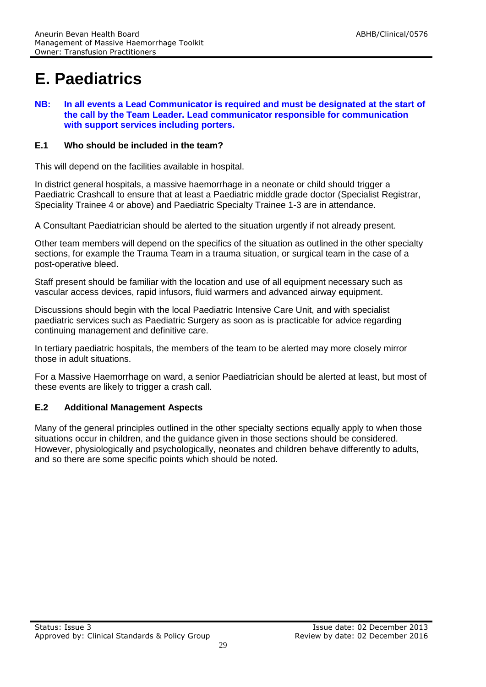## **E. Paediatrics**

**NB: In all events a Lead Communicator is required and must be designated at the start of the call by the Team Leader. Lead communicator responsible for communication with support services including porters.**

#### **E.1 Who should be included in the team?**

This will depend on the facilities available in hospital.

In district general hospitals, a massive haemorrhage in a neonate or child should trigger a Paediatric Crashcall to ensure that at least a Paediatric middle grade doctor (Specialist Registrar, Speciality Trainee 4 or above) and Paediatric Specialty Trainee 1-3 are in attendance.

A Consultant Paediatrician should be alerted to the situation urgently if not already present.

Other team members will depend on the specifics of the situation as outlined in the other specialty sections, for example the Trauma Team in a trauma situation, or surgical team in the case of a post-operative bleed.

Staff present should be familiar with the location and use of all equipment necessary such as vascular access devices, rapid infusors, fluid warmers and advanced airway equipment.

Discussions should begin with the local Paediatric Intensive Care Unit, and with specialist paediatric services such as Paediatric Surgery as soon as is practicable for advice regarding continuing management and definitive care.

In tertiary paediatric hospitals, the members of the team to be alerted may more closely mirror those in adult situations.

For a Massive Haemorrhage on ward, a senior Paediatrician should be alerted at least, but most of these events are likely to trigger a crash call.

#### **E.2 Additional Management Aspects**

Many of the general principles outlined in the other specialty sections equally apply to when those situations occur in children, and the guidance given in those sections should be considered. However, physiologically and psychologically, neonates and children behave differently to adults, and so there are some specific points which should be noted.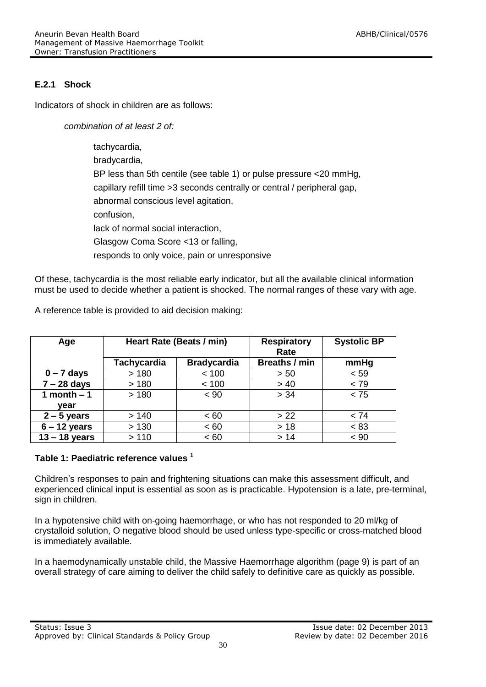#### **E.2.1 Shock**

Indicators of shock in children are as follows:

*combination of at least 2 of:*

tachycardia, bradycardia, BP less than 5th centile (see table 1) or pulse pressure <20 mmHg, capillary refill time >3 seconds centrally or central / peripheral gap, abnormal conscious level agitation, confusion, lack of normal social interaction, Glasgow Coma Score <13 or falling, responds to only voice, pain or unresponsive

Of these, tachycardia is the most reliable early indicator, but all the available clinical information must be used to decide whether a patient is shocked. The normal ranges of these vary with age.

| Age             | Heart Rate (Beats / min) |                    | <b>Respiratory</b><br>Rate | <b>Systolic BP</b> |
|-----------------|--------------------------|--------------------|----------------------------|--------------------|
|                 | <b>Tachycardia</b>       | <b>Bradycardia</b> | <b>Breaths / min</b>       | mmHg               |
| $0 - 7$ days    | >180                     | < 100              | > 50                       | < 59               |
| $7 - 28$ days   | >180                     | < 100              | > 40                       | < 79               |
| 1 month $-1$    | >180                     | $~<$ 90            | > 34                       | < 75               |
| vear            |                          |                    |                            |                    |
| $2 - 5$ years   | >140                     | ~< 60              | > 22                       | < 74               |
| $6 - 12$ years  | > 130                    | < 60               | $>18$                      | < 83               |
| $13 - 18$ years | >110                     | < 60               | >14                        | < 90               |

A reference table is provided to aid decision making:

#### **Table 1: Paediatric reference values <sup>1</sup>**

Children's responses to pain and frightening situations can make this assessment difficult, and experienced clinical input is essential as soon as is practicable. Hypotension is a late, pre-terminal, sign in children.

In a hypotensive child with on-going haemorrhage, or who has not responded to 20 ml/kg of crystalloid solution, O negative blood should be used unless type-specific or cross-matched blood is immediately available.

In a haemodynamically unstable child, the Massive Haemorrhage algorithm (page 9) is part of an overall strategy of care aiming to deliver the child safely to definitive care as quickly as possible.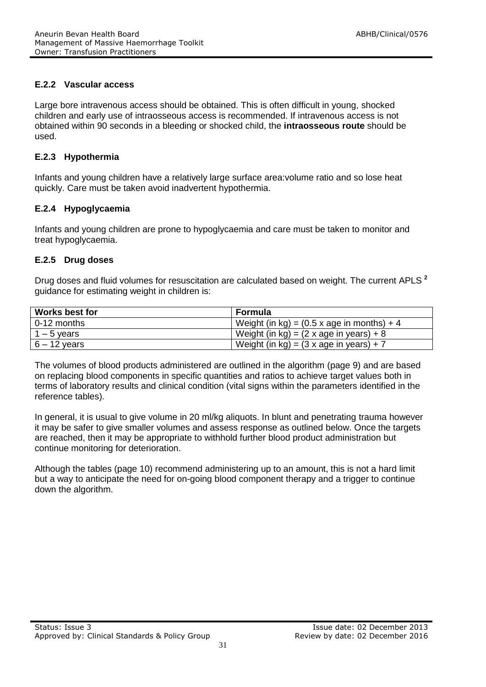#### **E.2.2 Vascular access**

Large bore intravenous access should be obtained. This is often difficult in young, shocked children and early use of intraosseous access is recommended. If intravenous access is not obtained within 90 seconds in a bleeding or shocked child, the **intraosseous route** should be used.

#### **E.2.3 Hypothermia**

Infants and young children have a relatively large surface area:volume ratio and so lose heat quickly. Care must be taken avoid inadvertent hypothermia.

#### **E.2.4 Hypoglycaemia**

Infants and young children are prone to hypoglycaemia and care must be taken to monitor and treat hypoglycaemia.

#### **E.2.5 Drug doses**

Drug doses and fluid volumes for resuscitation are calculated based on weight. The current APLS **<sup>2</sup>** guidance for estimating weight in children is:

| <b>Works best for</b> | Formula                                             |
|-----------------------|-----------------------------------------------------|
| 0-12 months           | Weight (in kg) = $(0.5 \times a)$ ge in months) + 4 |
| $1 - 5$ years         | Weight (in kg) = $(2 \times a)$ ge in years) + 8    |
| $6 - 12$ years        | Weight (in kg) = $(3 \times a$ ge in years) + 7     |

The volumes of blood products administered are outlined in the algorithm (page 9) and are based on replacing blood components in specific quantities and ratios to achieve target values both in terms of laboratory results and clinical condition (vital signs within the parameters identified in the reference tables).

In general, it is usual to give volume in 20 ml/kg aliquots. In blunt and penetrating trauma however it may be safer to give smaller volumes and assess response as outlined below. Once the targets are reached, then it may be appropriate to withhold further blood product administration but continue monitoring for deterioration.

Although the tables (page 10) recommend administering up to an amount, this is not a hard limit but a way to anticipate the need for on-going blood component therapy and a trigger to continue down the algorithm.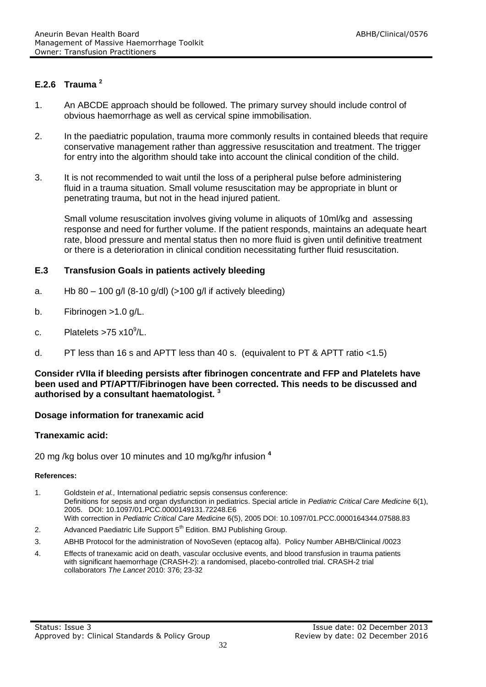#### **E.2.6 Trauma <sup>2</sup>**

- 1. An ABCDE approach should be followed. The primary survey should include control of obvious haemorrhage as well as cervical spine immobilisation.
- 2. In the paediatric population, trauma more commonly results in contained bleeds that require conservative management rather than aggressive resuscitation and treatment. The trigger for entry into the algorithm should take into account the clinical condition of the child.
- 3. It is not recommended to wait until the loss of a peripheral pulse before administering fluid in a trauma situation. Small volume resuscitation may be appropriate in blunt or penetrating trauma, but not in the head injured patient.

Small volume resuscitation involves giving volume in aliquots of 10ml/kg and assessing response and need for further volume. If the patient responds, maintains an adequate heart rate, blood pressure and mental status then no more fluid is given until definitive treatment or there is a deterioration in clinical condition necessitating further fluid resuscitation.

#### **E.3 Transfusion Goals in patients actively bleeding**

- a. Hb  $80 100$  g/l  $(8-10$  g/dl $)(>100$  g/l if actively bleeding
- b. Fibrinogen >1.0 g/L.
- c. Platelets >75  $x10^9$ /L.
- d. PT less than 16 s and APTT less than 40 s. (equivalent to PT & APTT ratio <1.5)

#### **Consider rVIIa if bleeding persists after fibrinogen concentrate and FFP and Platelets have been used and PT/APTT/Fibrinogen have been corrected. This needs to be discussed and authorised by a consultant haematologist. <sup>3</sup>**

#### **Dosage information for tranexamic acid**

#### **Tranexamic acid:**

20 mg /kg bolus over 10 minutes and 10 mg/kg/hr infusion **<sup>4</sup>**

#### **References:**

- 1. Goldstein *et al.,* International pediatric sepsis consensus conference: Definitions for sepsis and organ dysfunction in pediatrics. Special article in *Pediatric Critical Care Medicine* 6(1), 2005. DOI: 10.1097/01.PCC.0000149131.72248.E6 With correction in *Pediatric Critical Care Medicine* 6(5), 2005 DOI: 10.1097/01.PCC.0000164344.07588.83
- 2. Advanced Paediatric Life Support 5<sup>th</sup> Edition. BMJ Publishing Group.
- 3. ABHB Protocol for the administration of NovoSeven (eptacog alfa). Policy Number ABHB/Clinical /0023
- 4. Effects of tranexamic acid on death, vascular occlusive events, and blood transfusion in trauma patients with significant haemorrhage (CRASH-2): a randomised, placebo-controlled trial. CRASH-2 trial collaborators *The Lancet* 2010: 376; 23-32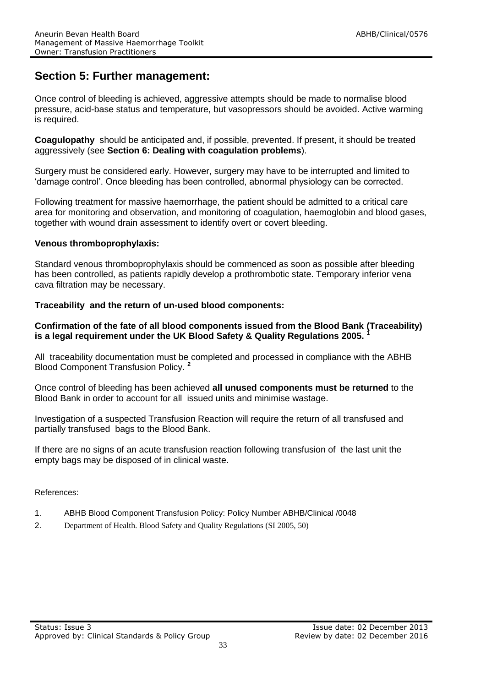### **Section 5: Further management:**

Once control of bleeding is achieved, aggressive attempts should be made to normalise blood pressure, acid-base status and temperature, but vasopressors should be avoided. Active warming is required.

**Coagulopathy** should be anticipated and, if possible, prevented. If present, it should be treated aggressively (see **Section 6: Dealing with coagulation problems**).

Surgery must be considered early. However, surgery may have to be interrupted and limited to 'damage control'. Once bleeding has been controlled, abnormal physiology can be corrected.

Following treatment for massive haemorrhage, the patient should be admitted to a critical care area for monitoring and observation, and monitoring of coagulation, haemoglobin and blood gases, together with wound drain assessment to identify overt or covert bleeding.

#### **Venous thromboprophylaxis:**

Standard venous thromboprophylaxis should be commenced as soon as possible after bleeding has been controlled, as patients rapidly develop a prothrombotic state. Temporary inferior vena cava filtration may be necessary.

#### **Traceability and the return of un-used blood components:**

#### **Confirmation of the fate of all blood components issued from the Blood Bank (Traceability) is a legal requirement under the UK Blood Safety & Quality Regulations 2005. <sup>1</sup>**

All traceability documentation must be completed and processed in compliance with the ABHB Blood Component Transfusion Policy. **<sup>2</sup>**

Once control of bleeding has been achieved **all unused components must be returned** to the Blood Bank in order to account for all issued units and minimise wastage.

Investigation of a suspected Transfusion Reaction will require the return of all transfused and partially transfused bags to the Blood Bank.

If there are no signs of an acute transfusion reaction following transfusion of the last unit the empty bags may be disposed of in clinical waste.

References:

- 1. ABHB Blood Component Transfusion Policy: Policy Number ABHB/Clinical /0048
- 2. Department of Health. Blood Safety and Quality Regulations (SI 2005, 50)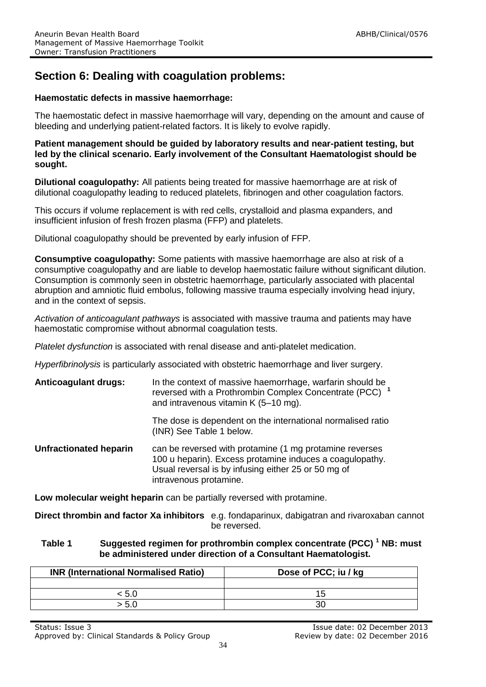### **Section 6: Dealing with coagulation problems:**

#### **Haemostatic defects in massive haemorrhage:**

The haemostatic defect in massive haemorrhage will vary, depending on the amount and cause of bleeding and underlying patient-related factors. It is likely to evolve rapidly.

#### **Patient management should be guided by laboratory results and near-patient testing, but led by the clinical scenario. Early involvement of the Consultant Haematologist should be sought.**

**Dilutional coagulopathy:** All patients being treated for massive haemorrhage are at risk of dilutional coagulopathy leading to reduced platelets, fibrinogen and other coagulation factors.

This occurs if volume replacement is with red cells, crystalloid and plasma expanders, and insufficient infusion of fresh frozen plasma (FFP) and platelets.

Dilutional coagulopathy should be prevented by early infusion of FFP.

**Consumptive coagulopathy:** Some patients with massive haemorrhage are also at risk of a consumptive coagulopathy and are liable to develop haemostatic failure without significant dilution. Consumption is commonly seen in obstetric haemorrhage, particularly associated with placental abruption and amniotic fluid embolus, following massive trauma especially involving head injury, and in the context of sepsis.

*Activation of anticoagulant pathways* is associated with massive trauma and patients may have haemostatic compromise without abnormal coagulation tests.

*Platelet dysfunction* is associated with renal disease and anti-platelet medication.

*Hyperfibrinolysis* is particularly associated with obstetric haemorrhage and liver surgery.

| <b>Anticoagulant drugs:</b>   | In the context of massive haemorrhage, warfarin should be<br>reversed with a Prothrombin Complex Concentrate (PCC) <sup>1</sup><br>and intravenous vitamin K (5-10 mg). |  |
|-------------------------------|-------------------------------------------------------------------------------------------------------------------------------------------------------------------------|--|
|                               | The dose is dependent on the international normalised ratio<br>(INR) See Table 1 below.                                                                                 |  |
| <b>Unfractionated heparin</b> | can be reversed with protamine (1 mg protamine reverses                                                                                                                 |  |

100 u heparin). Excess protamine induces a coagulopathy. Usual reversal is by infusing either 25 or 50 mg of intravenous protamine.

**Low molecular weight heparin** can be partially reversed with protamine.

**Direct thrombin and factor Xa inhibitors** e.g. fondaparinux, dabigatran and rivaroxaban cannot be reversed.

#### **Table 1 Suggested regimen for prothrombin complex concentrate (PCC) <sup>1</sup> NB: must be administered under direction of a Consultant Haematologist.**

| <b>INR (International Normalised Ratio)</b> | Dose of PCC; iu / kg |
|---------------------------------------------|----------------------|
|                                             |                      |
|                                             |                      |
| - 5.0                                       |                      |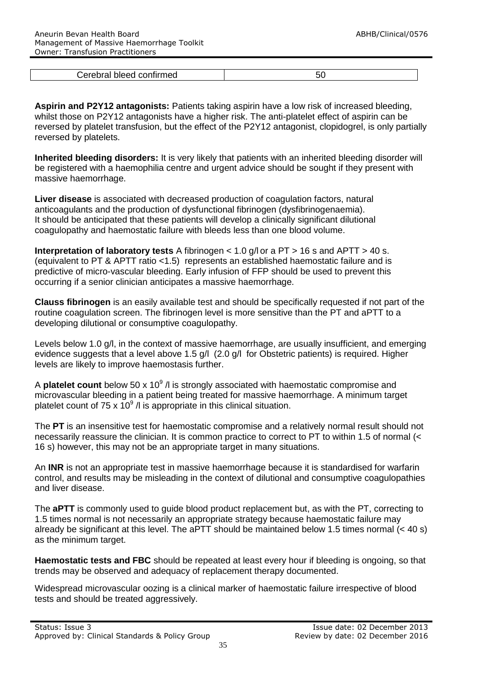| `arahre<br>חחו<br>,,,,,,,<br>. . |  |
|----------------------------------|--|

**Aspirin and P2Y12 antagonists:** Patients taking aspirin have a low risk of increased bleeding, whilst those on P2Y12 antagonists have a higher risk. The anti-platelet effect of aspirin can be reversed by platelet transfusion, but the effect of the P2Y12 antagonist, clopidogrel, is only partially reversed by platelets.

**Inherited bleeding disorders:** It is very likely that patients with an inherited bleeding disorder will be registered with a haemophilia centre and urgent advice should be sought if they present with massive haemorrhage.

**Liver disease** is associated with decreased production of coagulation factors, natural anticoagulants and the production of dysfunctional fibrinogen (dysfibrinogenaemia). It should be anticipated that these patients will develop a clinically significant dilutional coagulopathy and haemostatic failure with bleeds less than one blood volume.

**Interpretation of laboratory tests** A fibrinogen < 1.0 g/l or a PT > 16 s and APTT > 40 s. (equivalent to PT & APTT ratio <1.5) represents an established haemostatic failure and is predictive of micro-vascular bleeding. Early infusion of FFP should be used to prevent this occurring if a senior clinician anticipates a massive haemorrhage.

**Clauss fibrinogen** is an easily available test and should be specifically requested if not part of the routine coagulation screen. The fibrinogen level is more sensitive than the PT and aPTT to a developing dilutional or consumptive coagulopathy.

Levels below 1.0 g/l, in the context of massive haemorrhage, are usually insufficient, and emerging evidence suggests that a level above 1.5 g/l (2.0 g/l for Obstetric patients) is required. Higher levels are likely to improve haemostasis further.

A **platelet count** below 50 x 10<sup>9</sup> /l is strongly associated with haemostatic compromise and microvascular bleeding in a patient being treated for massive haemorrhage. A minimum target platelet count of 75 x 10 $9$  /l is appropriate in this clinical situation.

The **PT** is an insensitive test for haemostatic compromise and a relatively normal result should not necessarily reassure the clinician. It is common practice to correct to PT to within 1.5 of normal (< 16 s) however, this may not be an appropriate target in many situations.

An **INR** is not an appropriate test in massive haemorrhage because it is standardised for warfarin control, and results may be misleading in the context of dilutional and consumptive coagulopathies and liver disease.

The **aPTT** is commonly used to guide blood product replacement but, as with the PT, correcting to 1.5 times normal is not necessarily an appropriate strategy because haemostatic failure may already be significant at this level. The aPTT should be maintained below 1.5 times normal (< 40 s) as the minimum target.

**Haemostatic tests and FBC** should be repeated at least every hour if bleeding is ongoing, so that trends may be observed and adequacy of replacement therapy documented.

Widespread microvascular oozing is a clinical marker of haemostatic failure irrespective of blood tests and should be treated aggressively.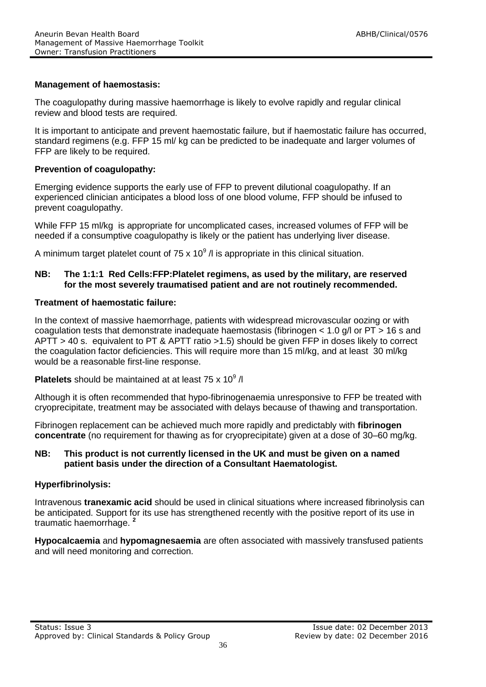#### **Management of haemostasis:**

The coagulopathy during massive haemorrhage is likely to evolve rapidly and regular clinical review and blood tests are required.

It is important to anticipate and prevent haemostatic failure, but if haemostatic failure has occurred, standard regimens (e.g. FFP 15 ml/ kg can be predicted to be inadequate and larger volumes of FFP are likely to be required.

#### **Prevention of coagulopathy:**

Emerging evidence supports the early use of FFP to prevent dilutional coagulopathy. If an experienced clinician anticipates a blood loss of one blood volume, FFP should be infused to prevent coagulopathy.

While FFP 15 ml/kg is appropriate for uncomplicated cases, increased volumes of FFP will be needed if a consumptive coagulopathy is likely or the patient has underlying liver disease.

A minimum target platelet count of 75 x 10 $^9$  /l is appropriate in this clinical situation.

#### **NB: The 1:1:1 Red Cells:FFP:Platelet regimens, as used by the military, are reserved for the most severely traumatised patient and are not routinely recommended.**

#### **Treatment of haemostatic failure:**

In the context of massive haemorrhage, patients with widespread microvascular oozing or with coagulation tests that demonstrate inadequate haemostasis (fibrinogen < 1.0 g/l or PT > 16 s and APTT > 40 s. equivalent to PT & APTT ratio >1.5) should be given FFP in doses likely to correct the coagulation factor deficiencies. This will require more than 15 ml/kg, and at least 30 ml/kg would be a reasonable first-line response.

**Platelets** should be maintained at at least  $75 \times 10^9$  /l

Although it is often recommended that hypo-fibrinogenaemia unresponsive to FFP be treated with cryoprecipitate, treatment may be associated with delays because of thawing and transportation.

Fibrinogen replacement can be achieved much more rapidly and predictably with **fibrinogen concentrate** (no requirement for thawing as for cryoprecipitate) given at a dose of 30–60 mg/kg.

#### **NB: This product is not currently licensed in the UK and must be given on a named patient basis under the direction of a Consultant Haematologist.**

#### **Hyperfibrinolysis:**

Intravenous **tranexamic acid** should be used in clinical situations where increased fibrinolysis can be anticipated. Support for its use has strengthened recently with the positive report of its use in traumatic haemorrhage. **2**

**Hypocalcaemia** and **hypomagnesaemia** are often associated with massively transfused patients and will need monitoring and correction.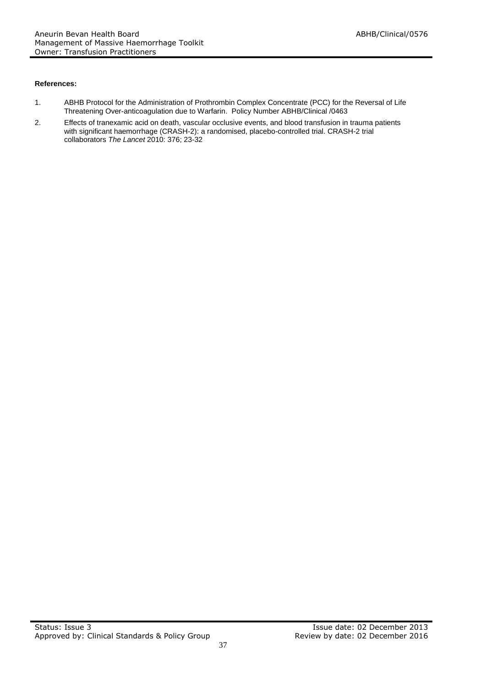#### **References:**

- 1. ABHB Protocol for the Administration of Prothrombin Complex Concentrate (PCC) for the Reversal of Life Threatening Over-anticoagulation due to Warfarin. Policy Number ABHB/Clinical /0463
- 2. Effects of tranexamic acid on death, vascular occlusive events, and blood transfusion in trauma patients with significant haemorrhage (CRASH-2): a randomised, placebo-controlled trial. CRASH-2 trial collaborators *The Lancet* 2010: 376; 23-32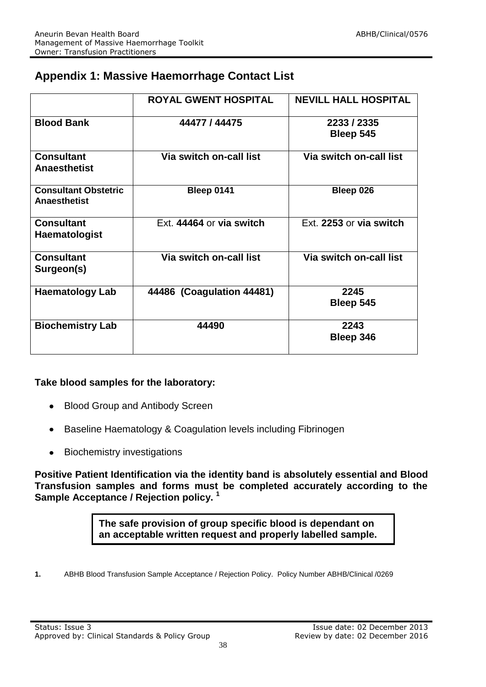### **Appendix 1: Massive Haemorrhage Contact List**

|                                                    | <b>ROYAL GWENT HOSPITAL</b> | <b>NEVILL HALL HOSPITAL</b> |
|----------------------------------------------------|-----------------------------|-----------------------------|
| <b>Blood Bank</b>                                  | 44477 / 44475               | 2233 / 2335<br>Bleep 545    |
| <b>Consultant</b><br><b>Anaesthetist</b>           | Via switch on-call list     | Via switch on-call list     |
| <b>Consultant Obstetric</b><br><b>Anaesthetist</b> | <b>Bleep 0141</b>           | Bleep 026                   |
| <b>Consultant</b><br><b>Haematologist</b>          | Ext. 44464 or via switch    | Ext. 2253 or via switch     |
| <b>Consultant</b><br>Surgeon(s)                    | Via switch on-call list     | Via switch on-call list     |
| <b>Haematology Lab</b>                             | 44486 (Coagulation 44481)   | 2245<br>Bleep 545           |
| <b>Biochemistry Lab</b>                            | 44490                       | 2243<br>Bleep 346           |

#### **Take blood samples for the laboratory:**

- Blood Group and Antibody Screen  $\bullet$
- Baseline Haematology & Coagulation levels including Fibrinogen  $\bullet$
- Biochemistry investigations  $\bullet$

**Positive Patient Identification via the identity band is absolutely essential and Blood Transfusion samples and forms must be completed accurately according to the Sample Acceptance / Rejection policy. <sup>1</sup>**

> **The safe provision of group specific blood is dependant on an acceptable written request and properly labelled sample.**

**1.** ABHB Blood Transfusion Sample Acceptance / Rejection Policy. Policy Number ABHB/Clinical /0269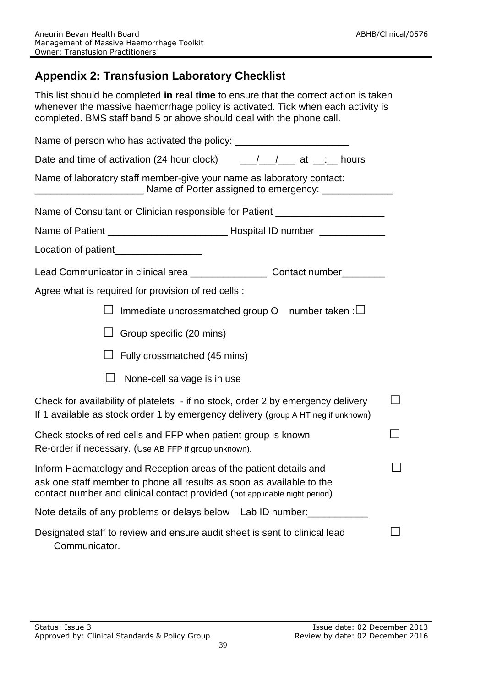## **Appendix 2: Transfusion Laboratory Checklist**

This list should be completed **in real time** to ensure that the correct action is taken whenever the massive haemorrhage policy is activated. Tick when each activity is completed. BMS staff band 5 or above should deal with the phone call.

| Name of person who has activated the policy: ___________________________________                                                                                                                                         |  |
|--------------------------------------------------------------------------------------------------------------------------------------------------------------------------------------------------------------------------|--|
| Date and time of activation (24 hour clock) ___________________ at ___:___ hours                                                                                                                                         |  |
| Name of laboratory staff member-give your name as laboratory contact:                                                                                                                                                    |  |
| Name of Consultant or Clinician responsible for Patient ________________________                                                                                                                                         |  |
|                                                                                                                                                                                                                          |  |
| Location of patient_________________                                                                                                                                                                                     |  |
| Lead Communicator in clinical area _______________________ Contact number________                                                                                                                                        |  |
| Agree what is required for provision of red cells :                                                                                                                                                                      |  |
| Immediate uncrossmatched group $O$ number taken: $\Box$                                                                                                                                                                  |  |
| Group specific (20 mins)                                                                                                                                                                                                 |  |
| Fully crossmatched (45 mins)                                                                                                                                                                                             |  |
| None-cell salvage is in use                                                                                                                                                                                              |  |
| Check for availability of platelets - if no stock, order 2 by emergency delivery<br>If 1 available as stock order 1 by emergency delivery (group A HT neg if unknown)                                                    |  |
| Check stocks of red cells and FFP when patient group is known<br>Re-order if necessary. (Use AB FFP if group unknown).                                                                                                   |  |
| Inform Haematology and Reception areas of the patient details and<br>ask one staff member to phone all results as soon as available to the<br>contact number and clinical contact provided (not applicable night period) |  |
| Note details of any problems or delays below Lab ID number:                                                                                                                                                              |  |
| Designated staff to review and ensure audit sheet is sent to clinical lead<br>Communicator.                                                                                                                              |  |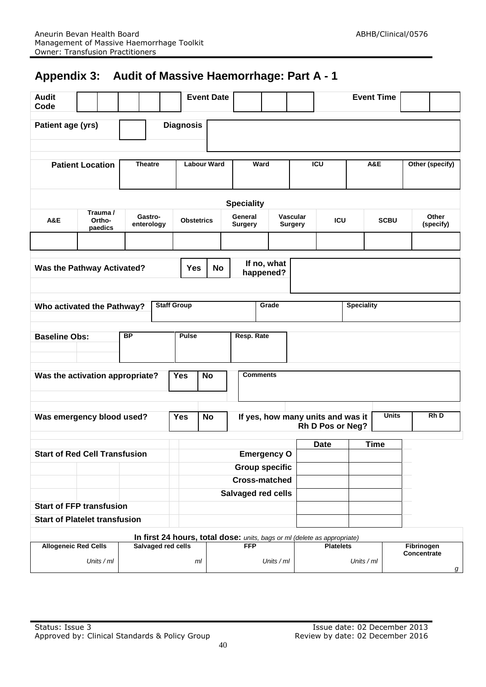## **Appendix 3: Audit of Massive Haemorrhage: Part A - 1**

| <b>Audit</b><br>Code                                                     |                                      |                                       |                                               | <b>Event Date</b>  |                           |             |                                                                  |                                                                               | <b>Event Time</b> |             |                    |
|--------------------------------------------------------------------------|--------------------------------------|---------------------------------------|-----------------------------------------------|--------------------|---------------------------|-------------|------------------------------------------------------------------|-------------------------------------------------------------------------------|-------------------|-------------|--------------------|
| Patient age (yrs)                                                        |                                      |                                       | <b>Diagnosis</b>                              |                    |                           |             |                                                                  |                                                                               |                   |             |                    |
| <b>Patient Location</b>                                                  |                                      | <b>Theatre</b>                        | <b>Labour Ward</b>                            |                    | Ward                      |             |                                                                  | <b>ICU</b><br>A&E                                                             |                   |             | Other (specify)    |
| <b>Speciality</b>                                                        |                                      |                                       |                                               |                    |                           |             |                                                                  |                                                                               |                   |             |                    |
| Trauma /<br>Gastro-<br>A&E<br>Ortho-<br>enterology<br>paedics            |                                      |                                       | <b>Obstetrics</b>                             |                    | General<br><b>Surgery</b> |             | <b>Vascular</b><br><b>Surgery</b>                                | <b>ICU</b>                                                                    |                   | <b>SCBU</b> | Other<br>(specify) |
|                                                                          |                                      |                                       |                                               |                    |                           |             |                                                                  |                                                                               |                   |             |                    |
| <b>Was the Pathway Activated?</b>                                        | <b>Yes</b>                           | If no, what<br><b>No</b><br>happened? |                                               |                    |                           |             |                                                                  |                                                                               |                   |             |                    |
| Who activated the Pathway?                                               |                                      |                                       | <b>Staff Group</b><br>Grade                   |                    |                           |             | <b>Speciality</b>                                                |                                                                               |                   |             |                    |
| <b>BP</b><br><b>Baseline Obs:</b>                                        |                                      | <b>Pulse</b>                          |                                               | Resp. Rate         |                           |             |                                                                  |                                                                               |                   |             |                    |
| Was the activation appropriate?                                          |                                      |                                       | <b>Yes</b>                                    | No                 | <b>Comments</b>           |             |                                                                  |                                                                               |                   |             |                    |
| Was emergency blood used?                                                |                                      |                                       | <b>Yes</b>                                    | <b>No</b>          |                           |             |                                                                  | <b>Units</b><br>Rh D<br>If yes, how many units and was it<br>Rh D Pos or Neg? |                   |             |                    |
|                                                                          |                                      |                                       |                                               |                    |                           | <b>Date</b> | <b>Time</b>                                                      |                                                                               |                   |             |                    |
|                                                                          | <b>Start of Red Cell Transfusion</b> |                                       |                                               | <b>Emergency O</b> |                           |             |                                                                  |                                                                               |                   |             |                    |
|                                                                          |                                      |                                       | <b>Group specific</b><br><b>Cross-matched</b> |                    |                           |             |                                                                  |                                                                               |                   |             |                    |
|                                                                          |                                      |                                       | Salvaged red cells                            |                    |                           |             |                                                                  |                                                                               |                   |             |                    |
| <b>Start of FFP transfusion</b>                                          |                                      |                                       |                                               |                    |                           |             |                                                                  |                                                                               |                   |             |                    |
| <b>Start of Platelet transfusion</b>                                     |                                      |                                       |                                               |                    |                           |             |                                                                  |                                                                               |                   |             |                    |
| In first 24 hours, total dose: units, bags or ml (delete as appropriate) |                                      |                                       |                                               |                    |                           |             |                                                                  |                                                                               |                   |             |                    |
| <b>Allogeneic Red Cells</b><br>Salvaged red cells<br>Units / ml          |                                      | ml                                    | <b>FFP</b><br>Units / ml                      |                    |                           |             | <b>Platelets</b><br>Fibrinogen<br>Concentrate<br>Units / ml<br>g |                                                                               |                   |             |                    |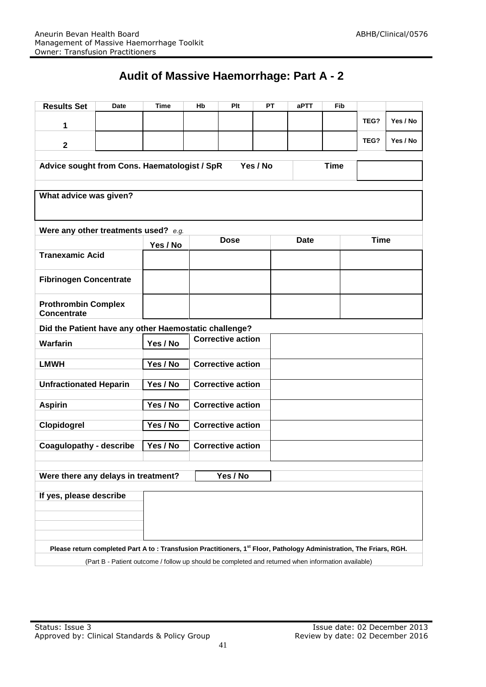## **Audit of Massive Haemorrhage: Part A - 2**

| <b>Results Set</b>                                                                                                               | Date     | <b>Time</b> | Hb                       | Plt                      | <b>PT</b> | aPTT        | Fib |             |          |  |
|----------------------------------------------------------------------------------------------------------------------------------|----------|-------------|--------------------------|--------------------------|-----------|-------------|-----|-------------|----------|--|
| 1                                                                                                                                |          |             |                          |                          |           |             |     | TEG?        | Yes / No |  |
| $\mathbf{2}$                                                                                                                     |          |             |                          |                          |           |             |     | TEG?        | Yes / No |  |
| Yes / No<br><b>Time</b><br>Advice sought from Cons. Haematologist / SpR                                                          |          |             |                          |                          |           |             |     |             |          |  |
| What advice was given?                                                                                                           |          |             |                          |                          |           |             |     |             |          |  |
|                                                                                                                                  |          |             |                          |                          |           |             |     |             |          |  |
| Were any other treatments used? e.g.                                                                                             |          | Yes / No    | <b>Dose</b>              |                          |           | <b>Date</b> |     | <b>Time</b> |          |  |
| <b>Tranexamic Acid</b>                                                                                                           |          |             |                          |                          |           |             |     |             |          |  |
| <b>Fibrinogen Concentrate</b>                                                                                                    |          |             |                          |                          |           |             |     |             |          |  |
| <b>Prothrombin Complex</b><br>Concentrate                                                                                        |          |             |                          |                          |           |             |     |             |          |  |
| Did the Patient have any other Haemostatic challenge?                                                                            |          |             |                          |                          |           |             |     |             |          |  |
| <b>Warfarin</b>                                                                                                                  |          | Yes / No    |                          | <b>Corrective action</b> |           |             |     |             |          |  |
| <b>LMWH</b>                                                                                                                      |          | Yes / No    |                          | <b>Corrective action</b> |           |             |     |             |          |  |
| <b>Unfractionated Heparin</b>                                                                                                    |          | Yes / No    |                          | <b>Corrective action</b> |           |             |     |             |          |  |
| <b>Aspirin</b>                                                                                                                   | Yes / No |             | <b>Corrective action</b> |                          |           |             |     |             |          |  |
| Clopidogrel                                                                                                                      | Yes / No |             | <b>Corrective action</b> |                          |           |             |     |             |          |  |
| <b>Coagulopathy - describe</b>                                                                                                   | Yes / No |             | <b>Corrective action</b> |                          |           |             |     |             |          |  |
| Yes / No<br>Were there any delays in treatment?                                                                                  |          |             |                          |                          |           |             |     |             |          |  |
| If yes, please describe                                                                                                          |          |             |                          |                          |           |             |     |             |          |  |
|                                                                                                                                  |          |             |                          |                          |           |             |     |             |          |  |
|                                                                                                                                  |          |             |                          |                          |           |             |     |             |          |  |
| Please return completed Part A to : Transfusion Practitioners, 1 <sup>st</sup> Floor, Pathology Administration, The Friars, RGH. |          |             |                          |                          |           |             |     |             |          |  |
| (Part B - Patient outcome / follow up should be completed and returned when information available)                               |          |             |                          |                          |           |             |     |             |          |  |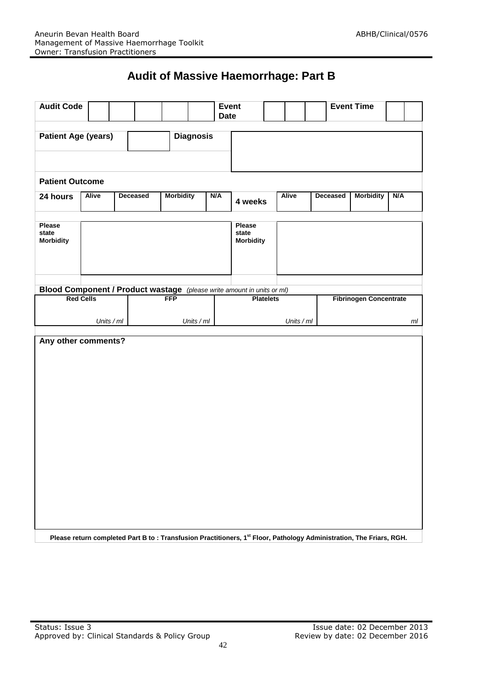## **Audit of Massive Haemorrhage: Part B**

|                                                                        | <b>Audit Code</b> |            | <b>Event</b><br><b>Date</b> |                  |            |            |                                     | <b>Event Time</b> |              |                                                                                                                     |                               |     |  |
|------------------------------------------------------------------------|-------------------|------------|-----------------------------|------------------|------------|------------|-------------------------------------|-------------------|--------------|---------------------------------------------------------------------------------------------------------------------|-------------------------------|-----|--|
| <b>Patient Age (years)</b><br><b>Diagnosis</b>                         |                   |            |                             |                  |            |            |                                     |                   |              |                                                                                                                     |                               |     |  |
| <b>Patient Outcome</b>                                                 |                   |            |                             |                  |            |            |                                     |                   |              |                                                                                                                     |                               |     |  |
| 24 hours                                                               | <b>Alive</b>      |            | Deceased                    | <b>Morbidity</b> |            | N/A        | 4 weeks                             |                   | <b>Alive</b> | Deceased                                                                                                            | <b>Morbidity</b>              | N/A |  |
| <b>Please</b><br>state<br><b>Morbidity</b>                             |                   |            |                             |                  |            |            | Please<br>state<br><b>Morbidity</b> |                   |              |                                                                                                                     |                               |     |  |
| Blood Component / Product wastage (please write amount in units or ml) |                   |            |                             |                  |            |            |                                     |                   |              |                                                                                                                     |                               |     |  |
| <b>Red Cells</b>                                                       |                   |            |                             | <b>FFP</b>       |            |            | <b>Platelets</b>                    |                   |              |                                                                                                                     | <b>Fibrinogen Concentrate</b> |     |  |
|                                                                        |                   | Units / ml |                             |                  | Units / ml | Units / ml |                                     |                   |              | ml                                                                                                                  |                               |     |  |
| Any other comments?                                                    |                   |            |                             |                  |            |            |                                     |                   |              | Please return completed Part B to: Transfusion Practitioners, 1st Floor, Pathology Administration, The Friars, RGH. |                               |     |  |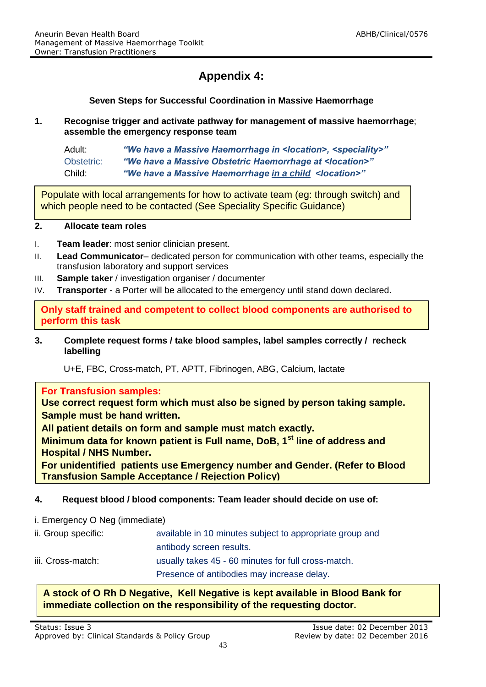## **Appendix 4:**

**Seven Steps for Successful Coordination in Massive Haemorrhage**

**1. Recognise trigger and activate pathway for management of massive haemorrhage**; **assemble the emergency response team**

| Adult:     | "We have a Massive Haemorrhage in <location>, <speciality>"</speciality></location> |
|------------|-------------------------------------------------------------------------------------|
| Obstetric: | "We have a Massive Obstetric Haemorrhage at <location>"</location>                  |
| Child:     | "We have a Massive Haemorrhage in a child <location>"</location>                    |

Populate with local arrangements for how to activate team (eg: through switch) and which people need to be contacted (See Speciality Specific Guidance)

#### **2. Allocate team roles**

- I. **Team leader**: most senior clinician present.
- II. **Lead Communicator** dedicated person for communication with other teams, especially the transfusion laboratory and support services
- III. **Sample taker** / investigation organiser / documenter
- IV. **Transporter** a Porter will be allocated to the emergency until stand down declared.

**Only staff trained and competent to collect blood components are authorised to perform this task** 

**3. Complete request forms / take blood samples, label samples correctly / recheck labelling**

U+E, FBC, Cross-match, PT, APTT, Fibrinogen, ABG, Calcium, lactate

#### **For Transfusion samples:**

**Use correct request form which must also be signed by person taking sample. Sample must be hand written.**

**All patient details on form and sample must match exactly.** 

**Minimum data for known patient is Full name, DoB, 1st line of address and Hospital / NHS Number.** 

**For unidentified patients use Emergency number and Gender. (Refer to Blood Transfusion Sample Acceptance / Rejection Policy)**

#### **4. Request blood / blood components: Team leader should decide on use of:**

#### i. Emergency O Neg (immediate)

| ii. Group specific: | available in 10 minutes subject to appropriate group and |
|---------------------|----------------------------------------------------------|
|                     | antibody screen results.                                 |
| iii. Cross-match:   | usually takes 45 - 60 minutes for full cross-match.      |
|                     | Presence of antibodies may increase delay.               |

#### **A stock of O Rh D Negative, Kell Negative is kept available in Blood Bank for immediate collection on the responsibility of the requesting doctor.**